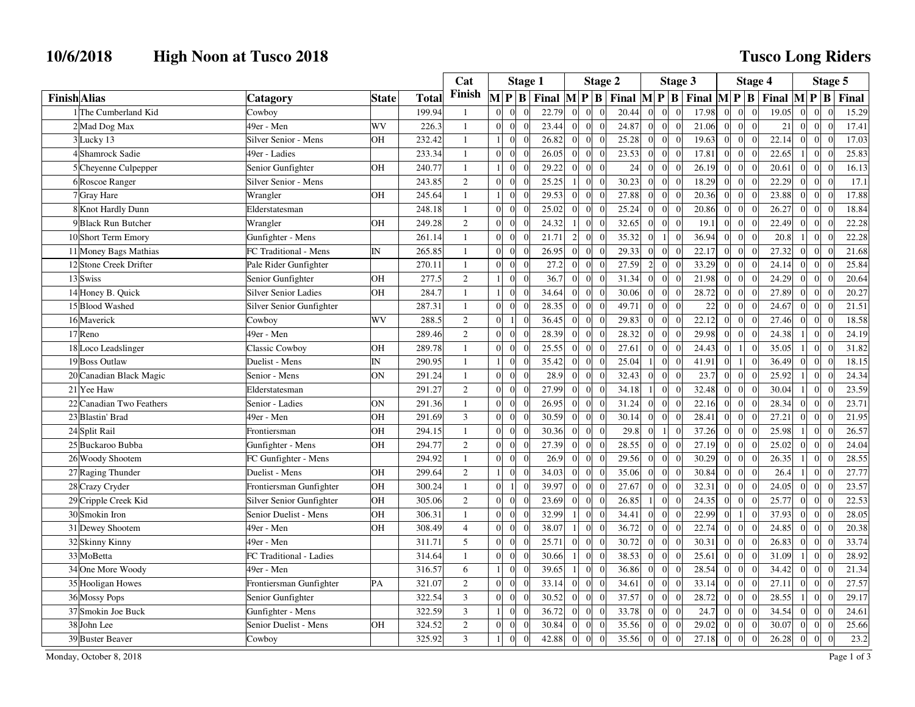## **10/6/2018 High Noon at Tusco 2018**

## **Tusco Long Riders**

|                          |                             |              |        | Cat            |                | <b>Stage 1</b>   |            | <b>Stage 2</b>                           |                  |                              |       | Stage 3         |                 |                |                                                                                                                            | <b>Stage 4</b> |                                  |       |                | Stage 5                         |                         |  |
|--------------------------|-----------------------------|--------------|--------|----------------|----------------|------------------|------------|------------------------------------------|------------------|------------------------------|-------|-----------------|-----------------|----------------|----------------------------------------------------------------------------------------------------------------------------|----------------|----------------------------------|-------|----------------|---------------------------------|-------------------------|--|
| <b>Finish</b> Alias      | Catagory                    | <b>State</b> | Total  | Finish         |                | $M$ $P$ $B$      |            | Final $\mathbf{M} \mathbf{P} \mathbf{B}$ |                  |                              |       |                 |                 |                | Final $\mathbf{M} \mathbf{P} \mathbf{B}$ Final $\mathbf{M} \mathbf{P} \mathbf{B}$ Final $\mathbf{M} \mathbf{P} \mathbf{B}$ |                |                                  |       |                |                                 | Final                   |  |
| 1 The Cumberland Kid     | Cowboy                      |              | 199.94 | $\mathbf{1}$   | $\overline{0}$ | $\mathbf{0}$     |            | 22.79                                    | $\overline{0}$   | $\Omega$                     | 20.44 | $\mathbf{0}$    | $\overline{0}$  | $\theta$       | 17.98                                                                                                                      | $\overline{0}$ | $\overline{0}$<br>$\Omega$       | 19.05 |                | $\overline{0}$                  | $\Omega$<br>15.29       |  |
| 2 Mad Dog Max            | 49er - Men                  | WV           | 226.3  | $\mathbf{1}$   | $\Omega$       | $\overline{0}$   | $\Omega$   | 23.44                                    | $\mathbf{0}$     | $\Omega$<br>$\sqrt{ }$       | 24.87 | $\overline{0}$  | $\overline{0}$  | $\overline{0}$ | 21.06                                                                                                                      | $\overline{0}$ | $\overline{0}$<br>$\overline{0}$ | 21    | $\vert$ 0      | $\overline{0}$                  | $\Omega$<br>17.41       |  |
| 3 Lucky 13               | Silver Senior - Mens        | OH           | 232.42 | $\mathbf{1}$   | $\mathbf{1}$   | $\overline{0}$   |            | 26.82                                    | $\vert$ 0        | $\sqrt{ }$<br>$\Omega$       | 25.28 | $\overline{0}$  | $\overline{0}$  | $\overline{0}$ | 19.63                                                                                                                      | $\overline{0}$ | $\overline{0}$<br>$\theta$       | 22.14 | $\overline{0}$ | $\overline{0}$                  | 17.03<br>$\overline{0}$ |  |
| 4 Shamrock Sadie         | 49er - Ladies               |              | 233.34 | $\mathbf{1}$   | $\Omega$       | $\overline{0}$   | $\Omega$   | 26.05                                    | $\overline{0}$   | $\Omega$<br>$\sqrt{ }$       | 23.53 | $\vert 0 \vert$ | $\overline{0}$  | $\overline{0}$ | 17.81                                                                                                                      | $\overline{0}$ | $\overline{0}$<br>$\Omega$       | 22.65 |                | $\overline{0}$                  | 25.83                   |  |
| 5 Cheyenne Culpepper     | Senior Gunfighter           | OH           | 240.77 | $\mathbf{1}$   | 1 <sup>1</sup> | $\overline{0}$   |            | 29.22                                    | $\mathbf{0}$     | $\sqrt{ }$<br>$\Omega$       | 24    | $\vert 0 \vert$ | $\overline{0}$  | $\overline{0}$ | 26.19                                                                                                                      | $\Omega$       | $\overline{0}$<br>$\Omega$       | 20.61 | $\Omega$       | $\overline{0}$                  | 16.13<br>$\theta$       |  |
| 6 Roscoe Ranger          | Silver Senior - Mens        |              | 243.85 | $\overline{2}$ | $\Omega$       | $\overline{0}$   |            | 25.25                                    | $\mathbf{1}$     | $\bigcap$<br>$\Omega$        | 30.23 | $\overline{0}$  | $\overline{0}$  | $\theta$       | 18.29                                                                                                                      | $\Omega$       | $\vert$ 0<br>$\Omega$            | 22.29 | $\Omega$       | $\overline{0}$<br>$\Omega$      | 17.1                    |  |
| 7 Gray Hare              | Wrangler                    | OH           | 245.64 | $\mathbf{1}$   | 1 <sup>1</sup> | $\Omega$         | $\Omega$   | 29.53                                    | $\Omega$         | $\bigcap$<br>$\Omega$        | 27.88 | $\overline{0}$  | $\Omega$        | $\overline{0}$ | 20.36                                                                                                                      | $\Omega$       | $\overline{0}$<br>$\Omega$       | 23.88 | $\Omega$       | $\overline{0}$                  | 17.88<br>$\Omega$       |  |
| 8 Knot Hardly Dunn       | Elderstatesman              |              | 248.18 | $\mathbf{1}$   | $\Omega$       | $\boldsymbol{0}$ |            | 25.02                                    | $\mathbf{0}$     | $\sqrt{ }$<br>$\Omega$       | 25.24 | $\overline{0}$  | $\overline{0}$  | $\mathbf{0}$   | 20.86                                                                                                                      | $\Omega$       | $\overline{0}$<br>$\Omega$       | 26.27 | $\Omega$       | $\overline{0}$<br>$\sqrt{ }$    | 18.84                   |  |
| 9 Black Run Butcher      | Wrangler                    | OH           | 249.28 | $\overline{c}$ | $\Omega$       | $\boldsymbol{0}$ |            | 24.32                                    |                  | $\Omega$<br>$\Omega$         | 32.65 | $\mathbf{0}$    | $\overline{0}$  | $\overline{0}$ | 19.1                                                                                                                       | $\overline{0}$ | $\overline{0}$<br>$\mathbf{0}$   | 22.49 | $\Omega$       | $\overline{0}$                  | 22.28<br>$\Omega$       |  |
| 10 Short Term Emory      | Gunfighter - Mens           |              | 261.14 | $\mathbf{1}$   | $\Omega$       | $\boldsymbol{0}$ |            | 21.71                                    | $\overline{2}$   | $\sqrt{ }$<br>$\Omega$       | 35.32 | $\overline{0}$  | $\vert$ 1       | $\overline{0}$ | 36.94                                                                                                                      | $\overline{0}$ | $\vert$ 0<br>$\Omega$            | 20.8  |                | $\overline{0}$                  | 22.28<br>$\Omega$       |  |
| 11 Money Bags Mathias    | FC Traditional - Mens       | IN           | 265.85 | $\mathbf{1}$   | $\Omega$       | $\overline{0}$   | $\Omega$   | 26.95                                    | $\mathbf{0}$     | $\sqrt{ }$<br>$\Omega$       | 29.33 | $\overline{0}$  | $\overline{0}$  | $\overline{0}$ | 22.17                                                                                                                      | $\overline{0}$ | $\overline{0}$<br>$\Omega$       | 27.32 | $\Omega$       | $\overline{0}$                  | 21.68                   |  |
| 12 Stone Creek Drifter   | Pale Rider Gunfighter       |              | 270.11 | $\mathbf{1}$   | $\Omega$       | $\theta$         | $\Omega$   | 27.2                                     | $\mathbf{0}$     | $\bigcap$<br>$\Omega$        | 27.59 | $\overline{2}$  | $\overline{0}$  | $\theta$       | 33.29                                                                                                                      | $\Omega$       | $\overline{0}$<br>$\Omega$       | 24.14 | $\Omega$       | $\overline{0}$                  | 25.84<br>$\Omega$       |  |
| 13 Swiss                 | Senior Gunfighter           | OH           | 277.5  | $\mathbf{2}$   | 1 <sup>1</sup> | $\mathbf{0}$     | $\Omega$   | 36.7                                     | $\overline{0}$   | $\sqrt{ }$<br>$\Omega$       | 31.34 | $\overline{0}$  | $\overline{0}$  | $\overline{0}$ | 21.98                                                                                                                      | $\overline{0}$ | $\overline{0}$<br>$\Omega$       | 24.29 | $\vert$ 0      | $\overline{0}$<br>$\sqrt{ }$    | 20.64                   |  |
| 14 Honey B. Quick        | <b>Silver Senior Ladies</b> | OH           | 284.7  | $\mathbf{1}$   | 1              | $\overline{0}$   |            | 34.64                                    | $\overline{0}$   | $\Omega$<br>$\Omega$         | 30.06 | $\vert 0 \vert$ | $\overline{0}$  | $\overline{0}$ | 28.72                                                                                                                      | $\Omega$       | $\overline{0}$<br>$\Omega$       | 27.89 | $\Omega$       | $\overline{0}$                  | 20.27<br>$\Omega$       |  |
| 15 Blood Washed          | Silver Senior Gunfighter    |              | 287.31 | $\mathbf{1}$   | $\Omega$       | $\overline{0}$   | $\Omega$   | 28.35                                    | $\overline{0}$   | $\Omega$<br>$\Omega$         | 49.71 | $\overline{0}$  | $\Omega$        | $\theta$       | 22                                                                                                                         | $\Omega$       | $\overline{0}$<br>$\Omega$       | 24.67 | $\Omega$       | $\vert$ 0                       | 21.51<br>$\Omega$       |  |
| 16 Maverick              | Cowboy                      | WV           | 288.5  | $\sqrt{2}$     | $\Omega$       |                  |            | 36.45                                    | $\boldsymbol{0}$ | $\sqrt{ }$<br>$\Omega$       | 29.83 | $\mathbf{0}$    | $\Omega$        | $\Omega$       | 22.12                                                                                                                      | $\Omega$       | $\mathbf{0}$<br>$\Omega$         | 27.46 | $\Omega$       | $\overline{0}$                  | 18.58                   |  |
| 17 Reno                  | 49er - Men                  |              | 289.46 | $\overline{c}$ | $\Omega$       | $\overline{0}$   | $\Omega$   | 28.39                                    | $\Omega$         | $\Omega$<br>$\Omega$         | 28.32 | $\overline{0}$  | $\overline{0}$  | $\overline{0}$ | 29.98                                                                                                                      | $\overline{0}$ | $\overline{0}$<br>$\Omega$       | 24.38 |                | $\overline{0}$                  | 24.19<br>$\Omega$       |  |
| 18 Loco Leadslinger      | <b>Classic Cowboy</b>       | OH           | 289.78 | $\mathbf{1}$   | $\overline{0}$ | $\boldsymbol{0}$ |            | 25.55                                    | $\theta$         | $\sqrt{ }$<br>$\Omega$       | 27.61 | $\mathbf{0}$    | $\overline{0}$  | $\overline{0}$ | 24.43                                                                                                                      | $\overline{0}$ | $\mathbf{1}$<br>$\overline{0}$   | 35.05 |                | $\overline{0}$                  | 31.82<br>$\theta$       |  |
| 19 Boss Outlaw           | Duelist - Mens              | IN           | 290.95 | $\mathbf{1}$   | 1 <sup>1</sup> | $\boldsymbol{0}$ | $\Omega$   | 35.42                                    | $\overline{0}$   | $\Omega$                     | 25.04 | $1\vert$        | $\overline{0}$  | $\overline{0}$ | 41.91                                                                                                                      | $\overline{0}$ | $\mathbf{1}$<br>$\theta$         | 36.49 | $\Omega$       | $\overline{0}$                  | 18.15<br>$\Omega$       |  |
| 20 Canadian Black Magic  | Senior - Mens               | ON           | 291.24 | $\mathbf{1}$   | $\Omega$       | $\mathbf{0}$     | $\Omega$   | 28.9                                     | $\mathbf{0}$     | $\Omega$<br>$\Omega$         | 32.43 | $\overline{0}$  | $\overline{0}$  | $\theta$       | 23.7                                                                                                                       | $\Omega$       | $\overline{0}$<br>$\Omega$       | 25.92 |                | $\overline{0}$                  | 24.34<br>$\Omega$       |  |
| 21 Yee Haw               | Elderstatesman              |              | 291.27 | $\mathbf{2}$   | $\Omega$       | $\overline{0}$   |            | 27.99                                    | $\overline{0}$   | $\sqrt{ }$                   | 34.18 | $\mathbf{1}$    | $\overline{0}$  | $\Omega$       | 32.48                                                                                                                      | $\Omega$       | $\mathbf{0}$<br>$\Omega$         | 30.04 |                | $\overline{0}$                  | 23.59                   |  |
| 22 Canadian Two Feathers | Senior - Ladies             | <b>ON</b>    | 291.36 | $\mathbf{1}$   | $\Omega$       | $\Omega$         | $\Omega$   | 26.95                                    | $\Omega$         | $\Omega$<br>$\Omega$         | 31.24 | $\overline{0}$  | $\Omega$        | $\theta$       | 22.16                                                                                                                      | $\Omega$       | $\Omega$<br>$\Omega$             | 28.34 | $\Omega$       | $\Omega$                        | 23.71                   |  |
| 23 Blastin' Brad         | 49er - Men                  | OH           | 291.69 | $\overline{3}$ | $\Omega$       | $\overline{0}$   | $\sqrt{ }$ | 30.59                                    | $\theta$         | $\bigcap$<br>$\Omega$        | 30.14 | $\overline{0}$  | $\overline{0}$  | $\overline{0}$ | 28.41                                                                                                                      | $\overline{0}$ | $\vert$ 0<br>$\Omega$            | 27.21 | $\Omega$       | $\overline{0}$                  | 21.95<br>$\Omega$       |  |
| 24 Split Rail            | Frontiersman                | OH           | 294.15 | $\mathbf{1}$   | $\overline{0}$ | $\overline{0}$   | $\Omega$   | 30.36                                    | $\overline{0}$   | $\sqrt{ }$<br>$\Omega$       | 29.8  | $\overline{0}$  | $1\vert$        | $\overline{0}$ | 37.26                                                                                                                      | $\overline{0}$ | $\overline{0}$<br>$\Omega$       | 25.98 |                | $\vert 0 \vert$                 | 26.57                   |  |
| 25 Buckaroo Bubba        | Gunfighter - Mens           | OH           | 294.77 | $\overline{c}$ | $\Omega$       | $\mathbf{0}$     | $\Omega$   | 27.39                                    | $\mathbf{0}$     | $\sqrt{ }$<br>$\Omega$       | 28.55 | $\vert 0 \vert$ | $\overline{0}$  | $\overline{0}$ | 27.19                                                                                                                      | $\Omega$       | $\overline{0}$<br>$\Omega$       | 25.02 | $\Omega$       | $\overline{0}$                  | 24.04<br>$\Omega$       |  |
| 26 Woody Shootem         | FC Gunfighter - Mens        |              | 294.92 | $\mathbf{1}$   | $\Omega$       | $\overline{0}$   |            | 26.9                                     | $\overline{0}$   | $\sqrt{ }$<br>$\Omega$       | 29.56 | $\overline{0}$  | $\overline{0}$  | $\overline{0}$ | 30.29                                                                                                                      | $\Omega$       | $\mathbf{0}$<br>$\Omega$         | 26.35 |                | $\overline{0}$                  | 28.55                   |  |
| 27 Raging Thunder        | Duelist - Mens              | OH           | 299.64 | $\mathbf{2}$   |                | $\theta$         | $\Omega$   | 34.03                                    | $\theta$         | $\Omega$<br>$\Omega$         | 35.06 | $\overline{0}$  | $\overline{0}$  | $\theta$       | 30.84                                                                                                                      | $\Omega$       | $\overline{0}$<br>$\Omega$       | 26.4  |                | $\overline{0}$                  | 27.77                   |  |
| 28 Crazy Cryder          | Frontiersman Gunfighter     | OH           | 300.24 | $\mathbf{1}$   | $\Omega$       | -1               | $\sqrt{ }$ | 39.97                                    | $\theta$         | $\bigcap$<br>$\Omega$        | 27.67 | $\vert 0 \vert$ | $\overline{0}$  | $\overline{0}$ | 32.31                                                                                                                      | $\overline{0}$ | $\overline{0}$<br>$\overline{0}$ | 24.05 | $\Omega$       | $\overline{0}$<br>-0            | 23.57                   |  |
| 29 Cripple Creek Kid     | Silver Senior Gunfighter    | <b>OH</b>    | 305.06 | $\mathbf{2}$   | $\Omega$       | $\overline{0}$   |            | 23.69                                    | $\theta$         | $\Omega$<br>$\Omega$         | 26.85 | $\mathbf{1}$    | $\overline{0}$  | $\overline{0}$ | 24.35                                                                                                                      | $\overline{0}$ | $\mathbf{0}$<br>$\Omega$         | 25.77 | $\Omega$       | $\overline{0}$                  | 22.53                   |  |
| 30 Smokin Iron           | Senior Duelist - Mens       | OH           | 306.31 | $\mathbf{1}$   | $\Omega$       | $\mathbf{0}$     |            | 32.99                                    | $\mathbf{1}$     | $\Omega$<br>$\Omega$         | 34.41 | $\overline{0}$  | $\Omega$        | $\theta$       | 22.99                                                                                                                      | $\Omega$       | $\overline{1}$<br>$\Omega$       | 37.93 | $\Omega$       | $\overline{0}$                  | $\Omega$<br>28.05       |  |
| 31 Dewey Shootem         | 49er - Men                  | OH           | 308.49 | $\overline{4}$ | $\Omega$       | $\boldsymbol{0}$ |            | 38.07                                    |                  | $\sqrt{ }$<br>$\Omega$       | 36.72 | $\mathbf{0}$    | $\overline{0}$  | $\overline{0}$ | 22.74                                                                                                                      | $\overline{0}$ | $\theta$<br>$\Omega$             | 24.85 | $\Omega$       | $\vert 0 \vert$                 | 20.38                   |  |
| 32 Skinny Kinny          | 49er - Men                  |              | 311.71 | 5              | $\Omega$       | $\overline{0}$   |            | 25.71                                    | $\theta$         | $\Omega$<br>$\Omega$         | 30.72 | $\vert 0 \vert$ | $\overline{0}$  | $\overline{0}$ | 30.31                                                                                                                      | $\overline{0}$ | $\overline{0}$<br>$\Omega$       | 26.83 | $\Omega$       | $\vert$ 0<br>$\sqrt{ }$         | 33.74                   |  |
| 33 MoBetta               | FC Traditional - Ladies     |              | 314.64 | $\mathbf{1}$   | $\Omega$       | $\overline{0}$   | $\Omega$   | 30.66                                    | $\overline{1}$   | $\Omega$<br>$\Omega$         | 38.53 | $\overline{0}$  | $\overline{0}$  | $\overline{0}$ | 25.61                                                                                                                      | $\Omega$       | $\overline{0}$<br>$\Omega$       | 31.09 | $\mathbf{1}$   | $\overline{0}$                  | 28.92                   |  |
| 34 One More Woody        | 49er - Men                  |              | 316.57 | 6              | 1 <sup>1</sup> | $\boldsymbol{0}$ |            | 39.65                                    | $\mathbf{1}$     | $\sqrt{ }$<br>$\overline{0}$ | 36.86 | $\overline{0}$  | $\overline{0}$  | $\overline{0}$ | 28.54                                                                                                                      | $\overline{0}$ | $\mathbf{0}$<br>$\Omega$         | 34.42 | $\mathbf{0}$   | $\overline{0}$                  | 21.34                   |  |
| 35 Hooligan Howes        | Frontiersman Gunfighter     | PA           | 321.07 | $\overline{2}$ | $\Omega$       | $\mathbf{0}$     | $\Omega$   | 33.14                                    | $\Omega$         | $\sqrt{ }$<br>$\Omega$       | 34.61 | $\vert 0 \vert$ | $\overline{0}$  | $\theta$       | 33.14                                                                                                                      | $\overline{0}$ | $\overline{0}$<br>$\Omega$       | 27.11 | $\Omega$       | $\overline{0}$<br>$\sqrt{ }$    | 27.57                   |  |
| 36 Mossy Pops            | Senior Gunfighter           |              | 322.54 | $\overline{3}$ | $\Omega$       | $\overline{0}$   |            | 30.52                                    | $\mathbf{0}$     | $\sqrt{ }$<br>$\Omega$       | 37.57 | $\overline{0}$  | $\overline{0}$  | $\overline{0}$ | 28.72                                                                                                                      | $\Omega$       | $\overline{0}$<br>$\Omega$       | 28.55 |                | $\overline{0}$                  | 29.17<br>$\Omega$       |  |
| 37 Smokin Joe Buck       | Gunfighter - Mens           |              | 322.59 | 3              | 1 <sup>1</sup> | $\overline{0}$   | $\Omega$   | 36.72                                    | $\mathbf{0}$     | $\Omega$<br>$\bigcap$        | 33.78 | $\overline{0}$  | $\Omega$        | $\theta$       | 24.7                                                                                                                       | $\Omega$       | $\vert$ 0<br>$\Omega$            | 34.54 | $\Omega$       | $\vert$ 0                       | 24.61                   |  |
| 38 John Lee              | Senior Duelist - Mens       | OH           | 324.52 | $\overline{c}$ | $\Omega$       | $\overline{0}$   | $\Omega$   | 30.84                                    | $\Omega$         | $\bigcap$<br>$\Omega$        | 35.56 | $\overline{0}$  | $\Omega$        | $\theta$       | 29.02                                                                                                                      | $\Omega$       | $\overline{0}$<br>$\Omega$       | 30.07 | $\Omega$       | $\vert$ 0                       | 25.66<br>$\Omega$       |  |
| 39 Buster Beaver         | Cowboy                      |              | 325.92 | 3              | $1\vert$       | $\mathbf{0}$     | $\Omega$   | 42.88                                    | $\mathbf{0}$     | $\sqrt{ }$<br>$\theta$       | 35.56 | $\mathbf{0}$    | $\vert 0 \vert$ | $\mathbf{0}$   | 27.18                                                                                                                      | $\overline{0}$ | $\overline{0}$<br>$\theta$       | 26.28 | $\vert$ 0      | $\vert 0 \vert$<br>$\mathbf{0}$ | 23.2                    |  |

Monday, October 8, 2018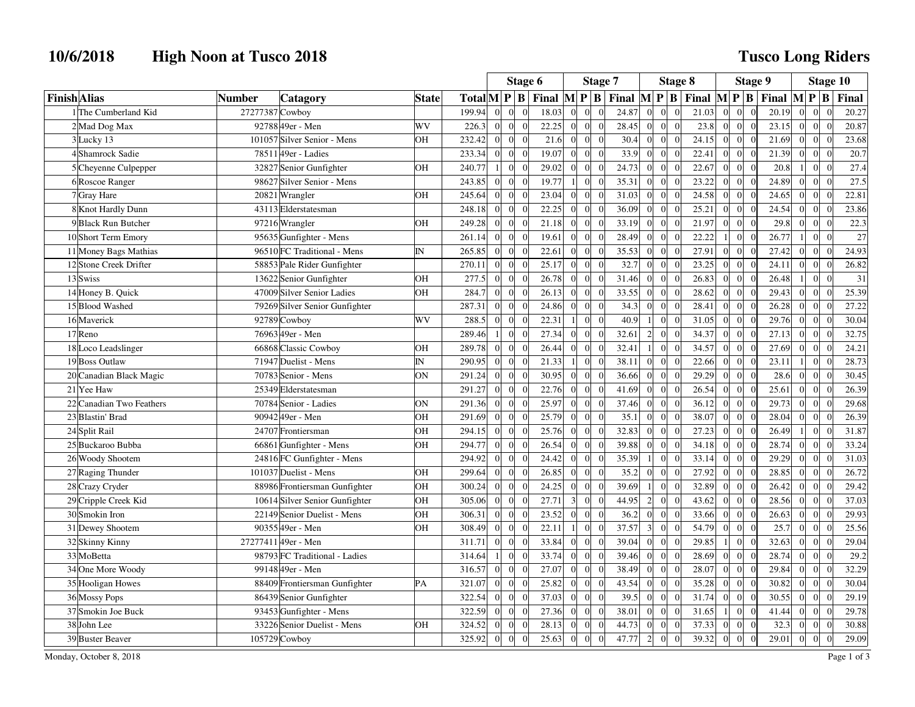## **10/6/2018 High Noon at Tusco 2018**

## **Tusco Long Riders**

|                          |                                |              |                                                  |                  | Stage 6        |                |       | Stage 7         |                                   |       |                |                  | <b>Stage 8</b>                                                                                                             |                                  | <b>Stage 9</b> |                                                       |                  |                                  | <b>Stage 10</b> |
|--------------------------|--------------------------------|--------------|--------------------------------------------------|------------------|----------------|----------------|-------|-----------------|-----------------------------------|-------|----------------|------------------|----------------------------------------------------------------------------------------------------------------------------|----------------------------------|----------------|-------------------------------------------------------|------------------|----------------------------------|-----------------|
| <b>Finish</b> Alias      | <b>Number</b><br>Catagory      | <b>State</b> | $\text{Total} \mathbf{M} \mathbf{P} \mathbf{B} $ |                  |                |                |       |                 |                                   |       |                |                  | Final $\mathbf{M} \mathbf{P} \mathbf{B}$ Final $\mathbf{M} \mathbf{P} \mathbf{B}$ Final $\mathbf{M} \mathbf{P} \mathbf{B}$ |                                  |                | Final $\begin{bmatrix} M & P & B \end{bmatrix}$ Final |                  |                                  |                 |
| 1 The Cumberland Kid     | 27277387 Cowboy                |              | 199.94                                           | $\Omega$         | $\Omega$       | $\Omega$       | 18.03 | $\Omega$        | $\theta$<br>$\Omega$              | 24.87 | $\Omega$       | $\overline{0}$   | $\Omega$<br>21.03                                                                                                          | $\mathbf{0}$<br>$\theta$         | $\Omega$       | 20.19                                                 | $\Omega$         | $\Omega$<br>$\Omega$             | 20.27           |
| 2 Mad Dog Max            | 92788 49er - Men               | WV           | 226.3                                            | $\mathbf{0}$     | $\overline{0}$ | $\sqrt{ }$     | 22.25 | $\overline{0}$  | $\overline{0}$<br>$\overline{0}$  | 28.45 | $\Omega$       | $\boldsymbol{0}$ | 23.8<br>$\theta$                                                                                                           | $\mathbf{0}$<br>$\overline{0}$   | $\overline{0}$ | 23.15                                                 | $\overline{0}$   | $\overline{0}$<br>$\Omega$       | 20.87           |
| 3 Lucky 13               | 101057 Silver Senior - Mens    | OН           | 232.42                                           | $\theta$         | $\Omega$       | $\Omega$       | 21.6  | $\overline{0}$  | $\overline{0}$<br>$\overline{0}$  | 30.4  | $\Omega$       | $\overline{0}$   | 24.15<br>$\Omega$                                                                                                          | $\overline{0}$<br>$\Omega$       | $\Omega$       | 21.69                                                 | $\overline{0}$   | $\overline{0}$<br>$\Omega$       | 23.68           |
| 4 Shamrock Sadie         | 78511 49er - Ladies            |              | 233.34                                           | $\overline{0}$   | $\Omega$       | $\sqrt{ }$     | 19.07 | $\overline{0}$  | $\overline{0}$<br>$\overline{0}$  | 33.9  | $\Omega$       | $\overline{0}$   | 22.41<br>$\Omega$                                                                                                          | $\overline{0}$<br>$\Omega$       | $\Omega$       | 21.39                                                 | $\Omega$         | $\Omega$<br>$\Omega$             | 20.7            |
| 5 Cheyenne Culpepper     | 32827 Senior Gunfighter        | OН           | 240.77                                           | $\mathbf{1}$     | $\overline{0}$ | $\Omega$       | 29.02 | $\overline{0}$  | $\vert$ 0<br>$\overline{0}$       | 24.73 | $\Omega$       | $\theta$         | 22.67                                                                                                                      | $\overline{0}$<br>$\epsilon$     | $\Omega$       | 20.8                                                  |                  | $\Omega$<br>$\Omega$             | 27.4            |
| 6 Roscoe Ranger          | 98627 Silver Senior - Mens     |              | 243.85                                           | $\Omega$         | $\Omega$       | $\sqrt{ }$     | 19.77 | 1 <sup>1</sup>  | $\Omega$<br>$\Omega$              | 35.31 | $\Omega$       | $\theta$         | 23.22<br>$\Omega$                                                                                                          | $\Omega$<br>$\Omega$             | $\Omega$       | 24.89                                                 | $\Omega$         | $\Omega$<br>$\Omega$             | 27.5            |
| 7 Gray Hare              | 20821 Wrangler                 | OН           | 245.64                                           | $\mathbf{0}$     | $\overline{0}$ | $\bigcap$      | 23.04 | $\overline{0}$  | $\overline{0}$<br>$\vert 0 \vert$ | 31.03 | $\Omega$       | $\boldsymbol{0}$ | 24.58                                                                                                                      | $\boldsymbol{0}$<br>$\epsilon$   | $\Omega$       | 24.65                                                 | $\boldsymbol{0}$ | $\overline{0}$<br>$\Omega$       | 22.81           |
| 8 Knot Hardly Dunn       | 43113 Elderstatesman           |              | 248.18                                           | $\overline{0}$   | $\overline{0}$ | $\Omega$       | 22.25 | $\mathbf{0}$    | $\overline{0}$<br>$\overline{0}$  | 36.09 |                | $\boldsymbol{0}$ | 25.21                                                                                                                      | $\mathbf{0}$<br>$\sqrt{ }$       | $\Omega$       | 24.54                                                 | $\overline{0}$   | $\overline{0}$<br>$\overline{0}$ | 23.86           |
| 9 Black Run Butcher      | 97216 Wrangler                 | OН           | 249.28                                           | $\overline{0}$   | $\overline{0}$ | $\sqrt{ }$     | 21.18 | $\overline{0}$  | $\overline{0}$<br>$\overline{0}$  | 33.19 | $\Omega$       | $\overline{0}$   | 21.97<br>$\Omega$                                                                                                          | $\overline{0}$<br>$\Omega$       | $\Omega$       | 29.8                                                  | $\overline{0}$   | $\overline{0}$<br>$\overline{0}$ | 22.3            |
| 10 Short Term Emory      | 95635 Gunfighter - Mens        |              | 261.14                                           | $\overline{0}$   | $\overline{0}$ | $\Omega$       | 19.61 | $\vert 0 \vert$ | $\vert 0 \vert$<br>$\overline{0}$ | 28.49 | $\Omega$       | $\boldsymbol{0}$ | 22.22                                                                                                                      | $\overline{0}$                   |                | 26.77                                                 | $\mathbf{1}$     | $\overline{0}$<br>$\overline{0}$ | 27              |
| 11 Money Bags Mathias    | 96510 FC Traditional - Mens    | IN           | 265.85                                           | $\overline{0}$   | $\Omega$       | $\Omega$       | 22.61 | $\overline{0}$  | $\overline{0}$<br>$\overline{0}$  | 35.53 |                | $\overline{0}$   | 27.91                                                                                                                      | $\overline{0}$<br>$\sqrt{ }$     |                | 27.42                                                 | $\boldsymbol{0}$ | $\overline{0}$<br>$\Omega$       | 24.93           |
| 12 Stone Creek Drifter   | 58853 Pale Rider Gunfighter    |              | 270.11                                           | $\overline{0}$   | $\overline{0}$ | $\overline{0}$ | 25.17 | $\overline{0}$  | $\overline{0}$<br>$\overline{0}$  | 32.7  | $\overline{0}$ | $\boldsymbol{0}$ | 23.25<br>$\Omega$                                                                                                          | $\overline{0}$<br>$\overline{0}$ | $\Omega$       | 24.11                                                 | $\mathbf{0}$     | $\overline{0}$<br>$\overline{0}$ | 26.82           |
| 13 Swiss                 | 13622 Senior Gunfighter        | OН           | 277.5                                            | $\boldsymbol{0}$ | $\overline{0}$ | $\Omega$       | 26.78 | $\overline{0}$  | $\overline{0}$<br>$\overline{0}$  | 31.46 | $\Omega$       | $\boldsymbol{0}$ | 26.83<br>$\Omega$                                                                                                          | $\overline{0}$<br>$\mathcal{C}$  | $\Omega$       | 26.48                                                 | $\mathbf{1}$     | $\overline{0}$<br>$\theta$       | 31              |
| 14 Honey B. Quick        | 47009 Silver Senior Ladies     | OН           | 284.7                                            | $\overline{0}$   | $\Omega$       | $\Omega$       | 26.13 | $\overline{0}$  | $\overline{0}$<br>$\overline{0}$  | 33.55 | $\Omega$       | $\overline{0}$   | 28.62<br>$\Omega$                                                                                                          | $\overline{0}$<br>$\Omega$       | $\Omega$       | 29.43                                                 | $\overline{0}$   | $\overline{0}$<br>$\theta$       | 25.39           |
| 15 Blood Washed          | 79269 Silver Senior Gunfighter |              | 287.31                                           | $\theta$         | $\overline{0}$ | $\bigcap$      | 24.86 | $\overline{0}$  | $\overline{0}$<br>$\overline{0}$  | 34.3  | $\Omega$       | $\boldsymbol{0}$ | 28.41                                                                                                                      | $\mathbf{0}$<br>$\Omega$         |                | 26.28                                                 | $\overline{0}$   | $\overline{0}$                   | 27.22           |
| 16 Maverick              | 92789 Cowboy                   | WV           | 288.5                                            | $\mathbf{0}$     | $\Omega$       | $\sqrt{ }$     | 22.31 | 1               | $\overline{0}$<br>$\vert$ 0       | 40.9  |                | $\overline{0}$   | 31.05                                                                                                                      | $\overline{0}$<br>$\Omega$       |                | 29.76                                                 | $\overline{0}$   | $\overline{0}$<br>$\Omega$       | 30.04           |
| 17 Reno                  | 7696349er - Men                |              | 289.46                                           | $\mathbf{1}$     | $\overline{0}$ | $\Omega$       | 27.34 | $\vert$ 0       | $\overline{0}$<br>$\overline{0}$  | 32.61 | $\overline{2}$ | $\overline{0}$   | 34.37<br>$\Omega$                                                                                                          | $\overline{0}$<br>$\Omega$       | $\Omega$       | 27.13                                                 | $\overline{0}$   | $\overline{0}$<br>$\Omega$       | 32.75           |
| 18 Loco Leadslinger      | 66868 Classic Cowboy           | OН           | 289.78                                           | $\mathbf{0}$     | $\overline{0}$ | $\sqrt{ }$     | 26.44 | $\overline{0}$  | $\overline{0}$<br>$\overline{0}$  | 32.41 |                | $\boldsymbol{0}$ | 34.57                                                                                                                      | $\overline{0}$<br>$\Omega$       |                | 27.69                                                 | $\boldsymbol{0}$ | $\overline{0}$                   | 24.21           |
| 19 Boss Outlaw           | 71947 Duelist - Mens           | IN           | 290.95                                           | $\overline{0}$   | $\Omega$       | $\sqrt{ }$     | 21.33 | $\vert$         | $\Omega$<br>$\overline{0}$        | 38.11 | $\Omega$       | $\overline{0}$   | $\Omega$<br>22.66                                                                                                          | $\Omega$<br>$\epsilon$           | $\Omega$       | 23.11                                                 | $\mathbf{1}$     | $\overline{0}$<br>$\Omega$       | 28.73           |
| 20 Canadian Black Magic  | 70783 Senior - Mens            | ON           | 291.24                                           | $\theta$         | $\Omega$       | $\bigcap$      | 30.95 | $\overline{0}$  | $\overline{0}$<br>$\vert$ 0       | 36.66 | $\Omega$       | $\overline{0}$   | 29.29                                                                                                                      | $\overline{0}$<br>$\epsilon$     | $\theta$       | 28.6                                                  | $\Omega$         | $\overline{0}$<br>$\Omega$       | 30.45           |
| 21 Yee Haw               | 25349 Elderstatesman           |              | 291.27                                           | $\theta$         | $\overline{0}$ | $\Omega$       | 22.76 | $\overline{0}$  | $\vert$ 0<br>$\overline{0}$       | 41.69 | $\Omega$       | $\theta$         | 26.54                                                                                                                      | $\overline{0}$<br>$\Omega$       | $\Omega$       | 25.61                                                 | $\overline{0}$   | $\overline{0}$<br>$\Omega$       | 26.39           |
| 22 Canadian Two Feathers | 70784 Senior - Ladies          | ON           | 291.36                                           | $\theta$         | $\Omega$       | $\Omega$       | 25.97 | $\Omega$        | $\theta$<br>$\Omega$              | 37.46 | $\Omega$       | $\overline{0}$   | 36.12<br>$\Omega$                                                                                                          | $\theta$<br>$\Omega$             | $\Omega$       | 29.73                                                 | $\overline{0}$   | $\Omega$<br>$\Omega$             | 29.68           |
| 23 Blastin' Brad         | 9094249er - Men                | OН           | 291.69                                           | $\overline{0}$   | $\overline{0}$ | $\Omega$       | 25.79 | $\overline{0}$  | $\overline{0}$<br>$\overline{0}$  | 35.1  | $\Omega$       | $\boldsymbol{0}$ | 38.07<br>$\Omega$                                                                                                          | $\overline{0}$<br>$\mathbf{0}$   | $\Omega$       | 28.04                                                 | $\overline{0}$   | $\overline{0}$                   | 26.39           |
| 24 Split Rail            | 24707 Frontiersman             | OН           | 294.15                                           | $\boldsymbol{0}$ | $\Omega$       | $\Omega$       | 25.76 | $\overline{0}$  | $\overline{0}$<br>$\overline{0}$  | 32.83 | $\Omega$       | $\boldsymbol{0}$ | 27.23<br>$\Omega$                                                                                                          | $\overline{0}$<br>$\epsilon$     | $\Omega$       | 26.49                                                 | $\mathbf{1}$     | $\overline{0}$<br>$\Omega$       | 31.87           |
| 25 Buckaroo Bubba        | 66861 Gunfighter - Mens        | OН           | 294.77                                           | $\overline{0}$   | $\overline{0}$ | $\Omega$       | 26.54 | $\vert 0 \vert$ | $\overline{0}$<br>$\overline{0}$  | 39.88 | $\Omega$       | $\mathbf{0}$     | 34.18<br>$\Omega$                                                                                                          | $\overline{0}$<br>$\Omega$       | $\Omega$       | 28.74                                                 | $\overline{0}$   | $\overline{0}$<br>$\Omega$       | 33.24           |
| 26 Woody Shootem         | 24816 FC Gunfighter - Mens     |              | 294.92                                           | $\theta$         | $\overline{0}$ | $\Omega$       | 24.42 | $\overline{0}$  | $\overline{0}$<br>$\overline{0}$  | 35.39 |                | $\boldsymbol{0}$ | 33.14                                                                                                                      | $\overline{0}$<br>$\epsilon$     |                | 29.29                                                 | $\overline{0}$   | $\overline{0}$                   | 31.03           |
| 27 Raging Thunder        | 101037 Duelist - Mens          | OН           | 299.64                                           | $\overline{0}$   | $\Omega$       | $\sqrt{ }$     | 26.85 | $\overline{0}$  | $\overline{0}$<br>$\overline{0}$  | 35.2  | $\Omega$       | $\overline{0}$   | 27.92<br>$\Omega$                                                                                                          | $\overline{0}$<br>$\Omega$       | $\theta$       | 28.85                                                 | $\boldsymbol{0}$ | $\overline{0}$<br>$\Omega$       | 26.72           |
| 28 Crazy Cryder          | 88986 Frontiersman Gunfighter  | OН           | 300.24                                           | $\mathbf{0}$     | $\overline{0}$ | $\overline{0}$ | 24.25 | $\overline{0}$  | $\overline{0}$<br>$\overline{0}$  | 39.69 |                | $\boldsymbol{0}$ | 32.89<br>$\Omega$                                                                                                          | $\mathbf{0}$<br>$\mathcal{C}$    | $\overline{0}$ | 26.42                                                 | $\boldsymbol{0}$ | $\overline{0}$                   | 29.42           |
| 29 Cripple Creek Kid     | 10614 Silver Senior Gunfighter | OН           | 305.06                                           | $\mathbf{0}$     | $\overline{0}$ | $\Omega$       | 27.71 | 3 <sup>1</sup>  | $\overline{0}$<br>$\overline{0}$  | 44.95 | $\overline{2}$ | $\boldsymbol{0}$ | 43.62<br>$\Omega$                                                                                                          | $\mathbf{0}$<br>$\Omega$         | $\Omega$       | 28.56                                                 | $\overline{0}$   | $\overline{0}$<br>$\Omega$       | 37.03           |
| 30 Smokin Iron           | 22149 Senior Duelist - Mens    | OН           | 306.31                                           | $\overline{0}$   | $\Omega$       | $\sqrt{ }$     | 23.52 | $\overline{0}$  | $\overline{0}$<br>$\overline{0}$  | 36.2  | $\Omega$       | $\boldsymbol{0}$ | 33.66<br>$\Omega$                                                                                                          | $\overline{0}$<br>$\sqrt{ }$     | $\Omega$       | 26.63                                                 | $\overline{0}$   | $\overline{0}$<br>$\Omega$       | 29.93           |
| 31 Dewey Shootem         | 90355 49er - Men               | OН           | 308.49                                           | $\theta$         | $\overline{0}$ | $\bigcap$      | 22.11 | 1 <sup>1</sup>  | $\overline{0}$<br>$\overline{0}$  | 37.57 | 3              | $\boldsymbol{0}$ | 54.79                                                                                                                      | $\theta$<br>$\Omega$             |                | 25.7                                                  | $\overline{0}$   | $\overline{0}$                   | 25.56           |
| 32 Skinny Kinny          | 27277411 49er - Men            |              | 311.71                                           | $\overline{0}$   | $\Omega$       | $\Omega$       | 33.84 | $\vert 0 \vert$ | $\overline{0}$<br>$\overline{0}$  | 39.04 | $\Omega$       | $\overline{0}$   | 29.85                                                                                                                      | $\overline{0}$                   | $\Omega$       | 32.63                                                 | $\overline{0}$   | $\overline{0}$<br>$\Omega$       | 29.04           |
| 33 MoBetta               | 98793 FC Traditional - Ladies  |              | 314.64                                           | -1               | $\overline{0}$ | $\Omega$       | 33.74 | $\overline{0}$  | $\overline{0}$<br>$\overline{0}$  | 39.46 | $\Omega$       | $\overline{0}$   | 28.69<br>$\Omega$                                                                                                          | $\overline{0}$<br>$\Omega$       | $\Omega$       | 28.74                                                 | $\overline{0}$   | $\overline{0}$<br>$\Omega$       | 29.2            |
| 34 One More Woody        | 99148 49er - Men               |              | 316.57                                           | $\mathbf{0}$     | $\overline{0}$ | $\Omega$       | 27.07 | $\overline{0}$  | $\overline{0}$<br>$\overline{0}$  | 38.49 | $\Omega$       | $\boldsymbol{0}$ | 28.07<br>$\Omega$                                                                                                          | $\overline{0}$<br>$\epsilon$     | $\Omega$       | 29.84                                                 | $\overline{0}$   | $\overline{0}$<br>$\Omega$       | 32.29           |
| 35 Hooligan Howes        | 88409 Frontiersman Gunfighter  | PA           | 321.07                                           | $\overline{0}$   | $\Omega$       | $\sqrt{ }$     | 25.82 | $\overline{0}$  | $\overline{0}$<br>$\overline{0}$  | 43.54 | $\Omega$       | $\mathbf{0}$     | $\Omega$<br>35.28                                                                                                          | $\Omega$<br>$\sqrt{ }$           | $\Omega$       | 30.82                                                 | $\overline{0}$   | $\overline{0}$<br>$\Omega$       | 30.04           |
| 36 Mossy Pops            | 86439 Senior Gunfighter        |              | 322.54                                           | $\theta$         | $\Omega$       | $\Omega$       | 37.03 | $\overline{0}$  | $\overline{0}$<br>$\overline{0}$  | 39.5  | $\Omega$       | $\overline{0}$   | 31.74<br>$\Omega$                                                                                                          | $\overline{0}$<br>$\epsilon$     | $\theta$       | 30.55                                                 | $\overline{0}$   | $\Omega$                         | 29.19           |
| 37 Smokin Joe Buck       | 93453 Gunfighter - Mens        |              | 322.59                                           | $\mathbf{0}$     | $\Omega$       | $\Omega$       | 27.36 | $\overline{0}$  | $\Omega$<br>$\overline{0}$        | 38.01 | $\Omega$       | $\boldsymbol{0}$ | 31.65                                                                                                                      | $\Omega$                         | $\Omega$       | 41.44                                                 | $\overline{0}$   | $\Omega$                         | 29.78           |
| 38 John Lee              | 33226 Senior Duelist - Mens    | OН           | 324.52                                           | $\mathbf{0}$     | $\Omega$       | $\Omega$       | 28.13 | $\vert 0 \vert$ | $\overline{0}$<br>$\Omega$        | 44.73 | $\Omega$       | $\boldsymbol{0}$ | 37.33<br>$\Omega$                                                                                                          | $\Omega$<br>$\Omega$             | $\theta$       | 32.3                                                  | $\mathbf{0}$     | $\Omega$<br>$\Omega$             | 30.88           |
| 39 Buster Beaver         | 105729 Cowboy                  |              | 325.92                                           | $\mathbf{0}$     | $\overline{0}$ | $\sqrt{ }$     | 25.63 | $\overline{0}$  | $\overline{0}$<br>$\vert 0 \vert$ | 47.77 | $\overline{2}$ | $\boldsymbol{0}$ | 39.32<br>$\theta$                                                                                                          | $\mathbf{0}$<br>$\overline{0}$   | $\overline{0}$ | 29.01                                                 | $\mathbf{0}$     | $\overline{0}$<br>$\Omega$       | 29.09           |

Monday, October 8, 2018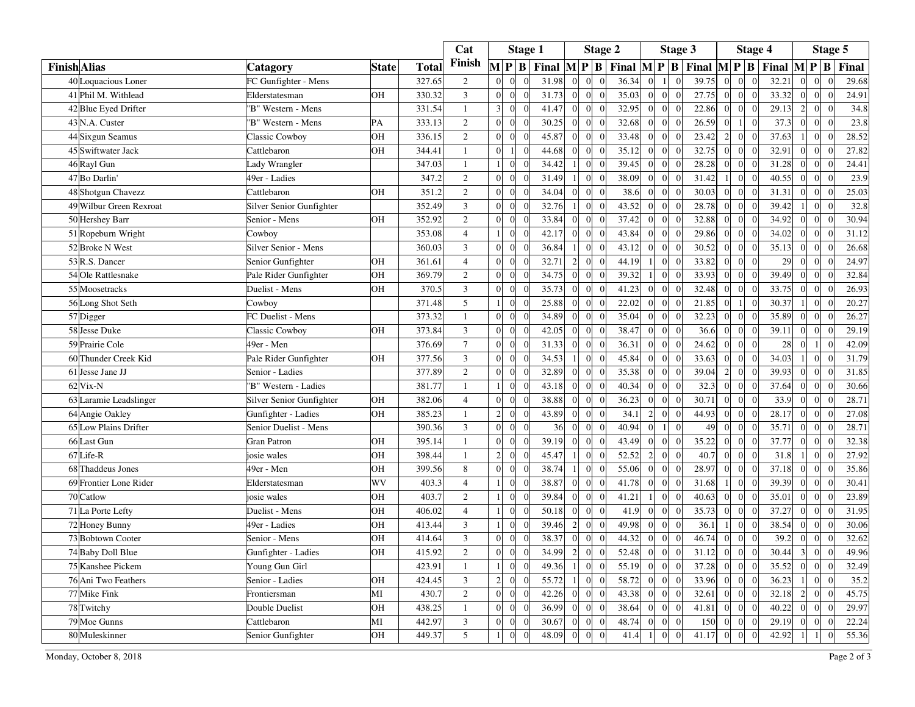|                         |                          |              |              | Cat            |                                    | <b>Stage 1</b>                     |                                             |                  | <b>Stage 2</b>               |       |                                    |                | Stage 3                                                                                                                               |                | <b>Stage 4</b>                     |                                             |                |                | Stage 5                 |
|-------------------------|--------------------------|--------------|--------------|----------------|------------------------------------|------------------------------------|---------------------------------------------|------------------|------------------------------|-------|------------------------------------|----------------|---------------------------------------------------------------------------------------------------------------------------------------|----------------|------------------------------------|---------------------------------------------|----------------|----------------|-------------------------|
| <b>Finish Alias</b>     | Catagory                 | <b>State</b> | <b>Total</b> | Finish         | $\mathbf{M} \mathbf{P} \mathbf{B}$ |                                    | Final $\left  M \right  P \left  B \right $ |                  |                              |       |                                    |                | Final $\left \mathbf{M}\right  \mathbf{P} \left \mathbf{B}\right $ Final $\left \mathbf{M}\right  \mathbf{P} \left \mathbf{B}\right $ |                |                                    | Final $\left  M \right  P \left  B \right $ |                |                | Final                   |
| 40 Loquacious Loner     | FC Gunfighter - Mens     |              | 327.65       | $\overline{2}$ | $\Omega$                           | $\boldsymbol{0}$                   | 31.98                                       | $\Omega$         |                              | 36.34 | $\boldsymbol{0}$                   |                | 39.75                                                                                                                                 | $\Omega$       | $\boldsymbol{0}$                   | 32.21                                       | $\Omega$       | $\mathbf{0}$   | 29.68<br>$\Omega$       |
| 41 Phil M. Withlead     | Elderstatesman           | OH           | 330.32       | 3              | $\Omega$                           | $\mathbf{0}$                       | 31.73                                       | $\overline{0}$   | $\Omega$<br>$\Omega$         | 35.03 | $\overline{0}$<br>$\overline{0}$   | $\overline{0}$ | 27.75                                                                                                                                 | $\Omega$       | $\overline{0}$<br>$\Omega$         | 33.32                                       | $\theta$       | $\overline{0}$ | 24.91<br>$\overline{0}$ |
| 42 Blue Eyed Drifter    | 'B" Western - Mens       |              | 331.54       | $\mathbf{1}$   | $\mathfrak{Z}$                     | $\boldsymbol{0}$<br>$\Omega$       | 41.47                                       | $\Omega$         | $\Omega$<br>$\Omega$         | 32.95 | $\boldsymbol{0}$<br>$\Omega$       | $\Omega$       | 22.86                                                                                                                                 | $\Omega$       | $\theta$<br>$\Omega$               | 29.13                                       | $\mathcal{D}$  | $\overline{0}$ | $\Omega$<br>34.8        |
| 43 N.A. Custer          | 'B" Western - Mens       | PA           | 333.13       | 2              | $\overline{0}$                     | $\mathbf{0}$<br>$\overline{0}$     | 30.25                                       | $\overline{0}$   | $\Omega$                     | 32.68 | $\boldsymbol{0}$<br>$\overline{0}$ | $\Omega$       | 26.59                                                                                                                                 | $\Omega$       | -1<br>$\Omega$                     | 37.3                                        | $\overline{0}$ | $\overline{0}$ | 23.8<br>$\overline{0}$  |
| 44 Sixgun Seamus        | Classic Cowboy           | <b>OH</b>    | 336.15       | $\mathbf{2}$   | $\Omega$                           | $\mathbf{0}$                       | 45.87                                       | $\Omega$         | $\sqrt{ }$                   | 33.48 | $\boldsymbol{0}$<br>$\Omega$       | $\Omega$       | 23.42                                                                                                                                 | $\mathcal{D}$  | $\overline{0}$<br>$\Omega$         | 37.63                                       |                | $\mathbf{0}$   | 28.52<br>$\Omega$       |
| 45 Swiftwater Jack      | Cattlebaron              | OH           | 344.41       | $\mathbf{1}$   | $\Omega$                           |                                    | 44.68                                       | $\overline{0}$   | $\sqrt{ }$<br>$\Omega$       | 35.12 | $\overline{0}$<br>$\overline{0}$   | $\Omega$       | 32.75                                                                                                                                 | $\overline{0}$ | $\boldsymbol{0}$                   | 32.91                                       | $\Omega$       | $\overline{0}$ | 27.82                   |
| 46 Rayl Gun             | Lady Wrangler            |              | 347.03       | $\mathbf{1}$   | $\vert$                            | $\mathbf{0}$<br>$\Omega$           | 34.42                                       | $\overline{1}$   | $\overline{0}$<br>$\Omega$   | 39.45 | $\mathbf{0}$<br>$\overline{0}$     | $\overline{0}$ | 28.28                                                                                                                                 | $\overline{0}$ | $\mathbf{0}$<br>$\Omega$           | 31.28                                       | $\overline{0}$ | $\overline{0}$ | $\overline{0}$<br>24.41 |
| 47 Bo Darlin'           | 49er - Ladies            |              | 347.2        | $\overline{c}$ | $\Omega$                           | $\boldsymbol{0}$                   | 31.49                                       |                  |                              | 38.09 | $\boldsymbol{0}$<br>$\Omega$       | $\Omega$       | 31.42                                                                                                                                 |                | $\overline{0}$                     | 40.55                                       | $\theta$       | $\overline{0}$ | 23.9<br>$\Omega$        |
| 48 Shotgun Chavezz      | Cattlebaron              | OH           | 351.2        | $\overline{2}$ | $\Omega$                           | $\mathbf{0}$                       | 34.04                                       | $\overline{0}$   | $\Omega$<br>$\Omega$         | 38.6  | $\vert 0 \vert$<br>$\overline{0}$  | $\overline{0}$ | 30.03                                                                                                                                 | $\Omega$       | $\mathbf{0}$<br>$\Omega$           | 31.31                                       | $\overline{0}$ | $\overline{0}$ | 25.03<br>$\overline{0}$ |
| 49 Wilbur Green Rexroat | Silver Senior Gunfighter |              | 352.49       | $\overline{3}$ | $\Omega$                           | $\mathbf{0}$                       | 32.76                                       |                  | $\Omega$<br>$\Omega$         | 43.52 | $\overline{0}$<br>$\Omega$         | $\Omega$       | 28.78                                                                                                                                 | $\Omega$       | $\overline{0}$<br>$\Omega$         | 39.42                                       |                | $\overline{0}$ | 32.8<br>$\Omega$        |
| 50 Hershey Barr         | Senior - Mens            | OH           | 352.92       | $\overline{2}$ | $\overline{0}$                     | $\mathbf{0}$<br>$\overline{0}$     | 33.84                                       | $\overline{0}$   | $\bigcap$<br>$\Omega$        | 37.42 | $\boldsymbol{0}$<br>$\overline{0}$ | $\overline{0}$ | 32.88                                                                                                                                 | $\overline{0}$ | $\boldsymbol{0}$<br>$\Omega$       | 34.92                                       | $\overline{0}$ | $\overline{0}$ | 30.94<br>$\overline{0}$ |
| 51 Ropeburn Wright      | Cowboy                   |              | 353.08       | $\overline{4}$ |                                    | $\mathbf{0}$                       | 42.17                                       | $\Omega$         | $\Omega$                     | 43.84 | $\overline{0}$<br>$\Omega$         | $\Omega$       | 29.86                                                                                                                                 | $\Omega$       | $\theta$<br>$\Omega$               | 34.02                                       | $\Omega$       | $\overline{0}$ | 31.12<br>$\Omega$       |
| 52 Broke N West         | Silver Senior - Mens     |              | 360.03       | $\mathfrak{Z}$ | $\overline{0}$                     | $\boldsymbol{0}$                   | 36.84                                       | $\overline{1}$   | $\sqrt{ }$<br>$\Omega$       | 43.12 | $\overline{0}$<br>$\overline{0}$   | $\overline{0}$ | 30.52                                                                                                                                 | $\overline{0}$ | $\boldsymbol{0}$                   | 35.13                                       | $\theta$       | $\mathbf{0}$   | 26.68<br>$\Omega$       |
| 53 R.S. Dancer          | Senior Gunfighter        | OH           | 361.61       | $\overline{4}$ | $\Omega$                           | $\mathbf{0}$<br>$\Omega$           | 32.71                                       | $\overline{2}$   | $\Omega$<br>$\sqrt{ }$       | 44.19 | $\theta$<br>$\mathbf{1}$           | $\Omega$       | 33.82                                                                                                                                 | $\Omega$       | $\mathbf{0}$<br>$\Omega$           | 29                                          | $\Omega$       | $\overline{0}$ | 24.97<br>$\Omega$       |
| 54 Ole Rattlesnake      | Pale Rider Gunfighter    | OH           | 369.79       | $\sqrt{2}$     | $\mathbf{0}$                       | $\boldsymbol{0}$                   | 34.75                                       | $\boldsymbol{0}$ |                              | 39.32 | $\overline{0}$                     | $\Omega$       | 33.93                                                                                                                                 | $\overline{0}$ | $\boldsymbol{0}$<br>$\Omega$       | 39.49                                       | $\overline{0}$ | $\mathbf{0}$   | 32.84<br>$\overline{0}$ |
| 55 Moosetracks          | Duelist - Mens           | OH           | 370.5        | $\overline{3}$ | $\Omega$                           | $\mathbf{0}$<br>$\Omega$           | 35.73                                       | $\Omega$         | $\sqrt{ }$<br>$\Omega$       | 41.23 | $\overline{0}$<br>$\overline{0}$   | $\Omega$       | 32.48                                                                                                                                 | $\Omega$       | $\mathbf{0}$<br>$\theta$           | 33.75                                       | $\Omega$       | $\overline{0}$ | 26.93<br>$\Omega$       |
| 56 Long Shot Seth       | Cowboy                   |              | 371.48       | 5              |                                    | $\boldsymbol{0}$                   | 25.88                                       | $\Omega$         | $\sqrt{ }$<br>$\Omega$       | 22.02 | $\boldsymbol{0}$<br>$\Omega$       | $\theta$       | 21.85                                                                                                                                 | $\Omega$       | $\overline{1}$<br>$\Omega$         | 30.37                                       |                | $\mathbf{0}$   | 20.27<br>$\Omega$       |
| 57 Digger               | FC Duelist - Mens        |              | 373.32       | $\mathbf{1}$   | $\overline{0}$                     | $\boldsymbol{0}$<br>$\Omega$       | 34.89                                       | $\overline{0}$   | $\sqrt{ }$<br>$\Omega$       | 35.04 | $\boldsymbol{0}$<br>$\overline{0}$ | $\overline{0}$ | 32.23                                                                                                                                 | $\overline{0}$ | $\mathbf{0}$<br>$\Omega$           | 35.89                                       | $\overline{0}$ | $\overline{0}$ | 26.27<br>$\theta$       |
| 58 Jesse Duke           | Classic Cowboy           | OH           | 373.84       | $\overline{3}$ | $\Omega$                           | $\mathbf{0}$                       | 42.05                                       | $\Omega$         |                              | 38.47 | $\overline{0}$<br>$\Omega$         | $\Omega$       | 36.6                                                                                                                                  |                | $\theta$<br>$\Omega$               | 39.11                                       | $\Omega$       | $\overline{0}$ | 29.19<br>$\Omega$       |
| 59 Prairie Cole         | 49er - Men               |              | 376.69       | $\tau$         | $\Omega$                           | $\boldsymbol{0}$                   | 31.33                                       | $\overline{0}$   | $\sqrt{ }$<br>$\Omega$       | 36.31 | $\overline{0}$<br>$\Omega$         | $\Omega$       | 24.62                                                                                                                                 | $\Omega$       | $\overline{0}$<br>$\Omega$         | 28                                          | $\Omega$       | $\mathbf{1}$   | 42.09<br>$\Omega$       |
| 60 Thunder Creek Kid    | Pale Rider Gunfighter    | OH           | 377.56       | $\mathfrak{Z}$ | $\overline{0}$                     | $\mathbf{0}$<br>$\Omega$           | 34.53                                       | $\overline{1}$   | $\sqrt{ }$<br>$\Omega$       | 45.84 | $\boldsymbol{0}$<br>$\Omega$       | $\Omega$       | 33.63                                                                                                                                 | $\Omega$       | $\overline{0}$<br>$\Omega$         | 34.03                                       | $\overline{1}$ | $\overline{0}$ | 31.79<br>$\Omega$       |
| 61 Jesse Jane JJ        | Senior - Ladies          |              | 377.89       | $\sqrt{2}$     | $\Omega$                           | $\boldsymbol{0}$                   | 32.89                                       | $\Omega$         | $\sqrt{ }$                   | 35.38 | $\boldsymbol{0}$<br>$\overline{0}$ | $\Omega$       | 39.04                                                                                                                                 | $\overline{2}$ | $\boldsymbol{0}$                   | 39.93                                       | $\Omega$       | $\mathbf{0}$   | 31.85<br>$\Omega$       |
| $62$ Vix-N              | 'B" Western - Ladies     |              | 381.77       | $\mathbf{1}$   | $\overline{1}$                     | $\overline{0}$<br>$\Omega$         | 43.18                                       | $\overline{0}$   | $\Omega$<br>$\Omega$         | 40.34 | $\overline{0}$<br>$\overline{0}$   | $\Omega$       | 32.3                                                                                                                                  | $\Omega$       | $\overline{0}$<br>$\Omega$         | 37.64                                       | $\Omega$       | $\mathbf{0}$   | 30.66<br>$\theta$       |
| 63 Laramie Leadslinger  | Silver Senior Gunfighter | OH           | 382.06       | $\overline{4}$ | $\Omega$                           | $\mathbf{0}$                       | 38.88                                       | $\Omega$         | $\sqrt{ }$<br>$\Omega$       | 36.23 | $\boldsymbol{0}$<br>$\Omega$       | $\Omega$       | 30.71                                                                                                                                 | $\Omega$       | $\overline{0}$<br>$\Omega$         | 33.9                                        | $\Omega$       | $\overline{0}$ | 28.71<br>$\Omega$       |
| 64 Angie Oakley         | Gunfighter - Ladies      | OH           | 385.23       | $\mathbf{1}$   | $\overline{2}$                     | $\boldsymbol{0}$<br>$\overline{0}$ | 43.89                                       | $\overline{0}$   | $\Omega$<br>$\Omega$         | 34.1  | $\overline{c}$<br>$\overline{0}$   | $\overline{0}$ | 44.93                                                                                                                                 | $\overline{0}$ | $\mathbf{0}$<br>$\overline{0}$     | 28.17                                       | $\overline{0}$ | $\overline{0}$ | 27.08<br>$\overline{0}$ |
| 65 Low Plains Drifter   | Senior Duelist - Mens    |              | 390.36       | $\mathfrak{Z}$ | $\Omega$                           | $\mathbf{0}$                       | 36                                          | $\Omega$         |                              | 40.94 | $\overline{0}$                     | $\Omega$       | 49                                                                                                                                    | $\Omega$       | $\theta$                           | 35.71                                       | $\theta$       | $\overline{0}$ | 28.71<br>$\Omega$       |
| 66 Last Gun             | Gran Patron              | OH           | 395.14       | $\mathbf{1}$   | $\overline{0}$                     | $\boldsymbol{0}$<br>$\Omega$       | 39.19                                       | $\overline{0}$   | $\Omega$                     | 43.49 | $\overline{0}$<br>$\overline{0}$   | $\overline{0}$ | 35.22                                                                                                                                 | $\Omega$       | $\theta$<br>$\Omega$               | 37.77                                       | $\overline{0}$ | $\overline{0}$ | 32.38<br>$\overline{0}$ |
| 67 Life-R               | josie wales              | OH           | 398.44       | $\mathbf{1}$   | $\overline{2}$                     | $\mathbf{0}$<br>$\Omega$           | 45.47                                       | $\overline{1}$   | $\sqrt{ }$<br>$\Omega$       | 52.52 | $\overline{2}$<br>$\Omega$         | $\Omega$       | 40.7                                                                                                                                  | $\Omega$       | $\Omega$<br>$\Omega$               | 31.8                                        | $\overline{1}$ | $\overline{0}$ | 27.92<br>$\Omega$       |
| 68 Thaddeus Jones       | 49er - Men               | <b>OH</b>    | 399.56       | $\,8\,$        | $\overline{0}$                     | $\boldsymbol{0}$                   | 38.74                                       |                  | $\bigcap$<br>$\Omega$        | 55.06 | $\boldsymbol{0}$<br>$\overline{0}$ | $\overline{0}$ | 28.97                                                                                                                                 | $\overline{0}$ | $\boldsymbol{0}$<br>$\theta$       | 37.18                                       | $\overline{0}$ | $\mathbf{0}$   | 35.86<br>$\overline{0}$ |
| 69 Frontier Lone Rider  | Elderstatesman           | WV           | 403.3        | $\overline{4}$ | $\overline{1}$                     | $\overline{0}$<br>$\Omega$         | 38.87                                       | $\theta$         | $\Omega$<br>$\sqrt{ }$       | 41.78 | $\overline{0}$<br>$\theta$         | $\Omega$       | 31.68                                                                                                                                 |                | $\overline{0}$<br>$\Omega$         | 39.39                                       | $\Omega$       | $\overline{0}$ | 30.41<br>$\Omega$       |
| 70 Catlow               | josie wales              | OН           | 403.7        | $\overline{c}$ |                                    | $\boldsymbol{0}$                   | 39.84                                       | $\Omega$         | $\sqrt{ }$                   | 41.21 | $\Omega$                           | $\Omega$       | 40.63                                                                                                                                 | $\Omega$       | $\overline{0}$<br>$\Omega$         | 35.01                                       | $\Omega$       | $\mathbf{0}$   | 23.89                   |
| 71 La Porte Lefty       | Duelist - Mens           | OH           | 406.02       | $\overline{4}$ | $\vert$ 1                          | $\Omega$<br>$\Omega$               | 50.18                                       | $\Omega$         | $\Omega$<br>$\Omega$         | 41.9  | $\Omega$<br>$\Omega$               | $\Omega$       | 35.73                                                                                                                                 | $\Omega$       | $\boldsymbol{0}$<br>$\theta$       | 37.27                                       | $\Omega$       | $\mathbf{0}$   | $\Omega$<br>31.95       |
| 72 Honey Bunny          | 49er - Ladies            | OH           | 413.44       | $\mathfrak{Z}$ |                                    | $\boldsymbol{0}$                   | 39.46                                       | $\overline{2}$   | $\Omega$                     | 49.98 | $\overline{0}$<br>$\Omega$         | $\Omega$       | 36.1                                                                                                                                  |                | $\overline{0}$<br>$\Omega$         | 38.54                                       | $\Omega$       | $\overline{0}$ | 30.06<br>$\Omega$       |
| 73 Bobtown Cooter       | Senior - Mens            | OH           | 414.64       | $\mathfrak{Z}$ | $\overline{0}$                     | $\boldsymbol{0}$                   | 38.37                                       | $\overline{0}$   | $\sqrt{ }$<br>$\overline{0}$ | 44.32 | $\overline{0}$<br>$\overline{0}$   | $\overline{0}$ | 46.74                                                                                                                                 | $\overline{0}$ | $\boldsymbol{0}$<br>$\overline{0}$ | 39.2                                        | $\overline{0}$ | $\overline{0}$ | 32.62<br>$\overline{0}$ |
| 74 Baby Doll Blue       | Gunfighter - Ladies      | OH           | 415.92       | $\mathbf{2}$   | $\Omega$                           | $\mathbf{0}$<br>$\Omega$           | 34.99                                       | 2                | $\Omega$<br>$\Omega$         | 52.48 | $\overline{0}$<br>$\Omega$         | $\theta$       | 31.12                                                                                                                                 | $\Omega$       | $\overline{0}$<br>$\Omega$         | 30.44                                       | 3              | $\overline{0}$ | 49.96<br>$\Omega$       |
| 75 Kanshee Pickem       | Young Gun Girl           |              | 423.91       | $\,1\,$        | -11                                | $\boldsymbol{0}$<br>$\overline{0}$ | 49.36                                       |                  | $\theta$                     | 55.19 | $\boldsymbol{0}$<br>$\overline{0}$ | $\overline{0}$ | 37.28                                                                                                                                 | $\theta$       | $\boldsymbol{0}$<br>$\Omega$       | 35.52                                       | $\mathbf{0}$   | $\overline{0}$ | 32.49<br>$\overline{0}$ |
| 76 Ani Two Feathers     | Senior - Ladies          | OH           | 424.45       | $\overline{3}$ | $\overline{c}$                     | $\mathbf 0$                        | 55.72                                       |                  | $\Omega$<br>$\Omega$         | 58.72 | $\mathbf{0}$<br>$\Omega$           | $\Omega$       | 33.96                                                                                                                                 | $\Omega$       | $\theta$<br>$\Omega$               | 36.23                                       |                | $\mathbf{0}$   | $\theta$<br>35.2        |
| 77 Mike Fink            | Frontiersman             | MI           | 430.7        | $\sqrt{2}$     | $\overline{0}$                     | $\boldsymbol{0}$                   | 42.26                                       | $\Omega$         | $\sqrt{ }$<br>$\overline{0}$ | 43.38 | $\overline{0}$<br>$\overline{0}$   | $\overline{0}$ | 32.61                                                                                                                                 | $\overline{0}$ | $\boldsymbol{0}$                   | 32.18                                       | 2              | $\mathbf{0}$   | 45.75<br>$\overline{0}$ |
| 78 Twitchy              | Double Duelist           | OH           | 438.25       | $\mathbf{1}$   | $\Omega$                           | $\Omega$<br>$\Omega$               | 36.99                                       | $\Omega$         | $\sqrt{ }$<br>$\Omega$       | 38.64 | $\overline{0}$<br>$\theta$         | $\Omega$       | 41.81                                                                                                                                 | $\Omega$       | $\mathbf{0}$<br>$\Omega$           | 40.22                                       | $\Omega$       | $\overline{0}$ | 29.97<br>$\theta$       |
| 79 Moe Gunns            | Cattlebaron              | MI           | 442.97       | $\mathfrak{Z}$ | $\mathbf{0}$                       | $\boldsymbol{0}$                   | 30.67                                       | $\Omega$         | $\Omega$                     | 48.74 | $\boldsymbol{0}$<br>$\Omega$       | $\Omega$       | 150                                                                                                                                   |                | $\overline{0}$<br>$\Omega$         | 29.19                                       |                | $\mathbf{0}$   | 22.24<br>$\Omega$       |
| 80 Muleskinner          | Senior Gunfighter        | OН           | 449.37       | 5              |                                    | $\mathbf{0}$                       | 48.09                                       | $\Omega$         | $\theta$<br>$\Omega$         | 41.4  | $\Omega$                           | $\Omega$       | 41.17                                                                                                                                 | $\Omega$       | $\theta$<br>$\Omega$               | 42.92                                       |                | $\mathbf{1}$   | 55.36<br>$\Omega$       |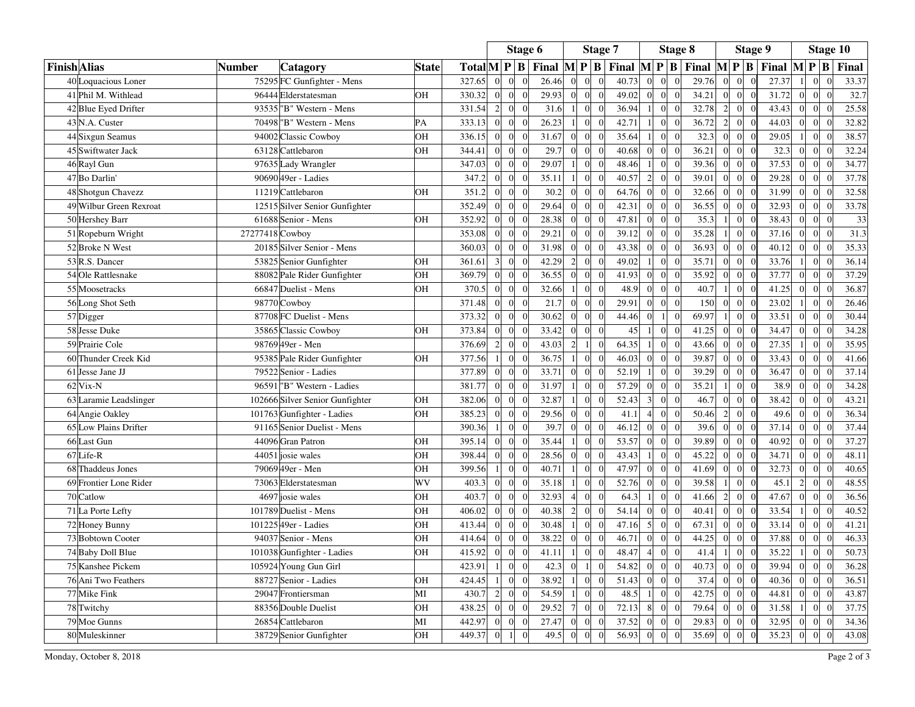|                         |                 |                                 |              |        |                                                    | Stage 6 |                  |                 | Stage 7                                  |                                    |                | Stage 8 | Stage 9          |                                                                            |                |                 | Stage 10         |       |
|-------------------------|-----------------|---------------------------------|--------------|--------|----------------------------------------------------|---------|------------------|-----------------|------------------------------------------|------------------------------------|----------------|---------|------------------|----------------------------------------------------------------------------|----------------|-----------------|------------------|-------|
| <b>Finish</b> Alias     | Number          | Catagory                        | <b>State</b> |        | Total M P B                                        | Final   |                  |                 | $ M P B $ Final $ M P B $ Final $ M P B$ |                                    |                |         |                  | Final $\begin{bmatrix} \mathbf{M} & \mathbf{P} & \mathbf{B} \end{bmatrix}$ |                |                 |                  | Final |
| 40 Loquacious Loner     |                 | 75295 FC Gunfighter - Mens      |              | 327.65 | $\overline{0}$<br>$\overline{0}$<br>$\overline{0}$ | 26.46   | $\overline{0}$   | $\overline{0}$  | 40.73<br>$\boldsymbol{0}$                | $\mathbf{0}$<br>$\mathbf{0}$       | $\theta$       | 29.76   | $\mathbf{0}$     | 27.37                                                                      | $\mathbf{1}$   | $\overline{0}$  | $\boldsymbol{0}$ | 33.37 |
| 41 Phil M. Withlead     |                 | 96444 Elderstatesman            | OH           | 330.32 | $\theta$<br>$\Omega$<br>$\sqrt{ }$                 | 29.93   | $\Omega$         | $\Omega$        | $\theta$<br>49.02                        | $\overline{0}$<br>$\Omega$         | $\Omega$       | 34.21   | $\overline{0}$   | 31.72                                                                      | $\Omega$       | $\overline{0}$  | $\theta$         | 32.7  |
| 42 Blue Eyed Drifter    | 93535           | "B" Western - Mens              |              | 331.54 | $\overline{2}$<br>$\overline{0}$<br>$\theta$       | 31.6    |                  | $\overline{0}$  | $\overline{0}$<br>36.94                  | $\overline{0}$                     | $\Omega$       | 32.78   | $\theta$         | 43.43                                                                      | $\overline{0}$ | $\overline{0}$  | $\Omega$         | 25.58 |
| 43 N.A. Custer          |                 | 70498 "B" Western - Mens        | PA           | 333.13 | $\overline{0}$<br>$\overline{0}$<br>$\Omega$       | 26.23   | $\overline{1}$   | $\overline{0}$  | 42.71<br>$\overline{0}$                  | $\overline{0}$                     | $\Omega$       | 36.72   | $\overline{0}$   | 44.03                                                                      | $\overline{0}$ | $\overline{0}$  | $\Omega$         | 32.82 |
| 44 Sixgun Seamus        |                 | 94002 Classic Cowboy            | OH           | 336.15 | $\sqrt{ }$<br>$\overline{0}$<br>$\sqrt{ }$         | 31.67   | $\boldsymbol{0}$ | $\theta$        | $\boldsymbol{0}$<br>35.64                | $\overline{0}$                     | $\Omega$       | 32.3    | $\theta$         | 29.05                                                                      |                | $\overline{0}$  | $\sqrt{ }$       | 38.57 |
| 45 Swiftwater Jack      |                 | 63128 Cattlebaron               | OH           | 344.41 | $\overline{0}$<br>$\overline{0}$<br>$\Omega$       | 29.7    | $\overline{0}$   | $\overline{0}$  | $\overline{0}$<br>40.68                  | $\overline{0}$<br>$\Omega$         | $\theta$       | 36.21   | $\overline{0}$   | 32.3                                                                       | $\Omega$       | $\overline{0}$  | $\Omega$         | 32.24 |
| 46 Rayl Gun             |                 | 97635 Lady Wrangler             |              | 347.03 | $\overline{0}$<br>$\theta$<br>$\sqrt{ }$           | 29.07   |                  | $\overline{0}$  | 48.46<br>$\overline{0}$                  | $\overline{0}$                     | $\Omega$       | 39.36   | $\theta$         | 37.53                                                                      | $\overline{0}$ | $\overline{0}$  | $\sqrt{ }$       | 34.77 |
| 47 Bo Darlin'           |                 | 90690 49er - Ladies             |              | 347.2  | $\overline{0}$<br>$\overline{0}$<br>$\mathcal{C}$  | 35.11   |                  | $\overline{0}$  | 40.57<br>$\boldsymbol{0}$                | $\boldsymbol{2}$<br>$\overline{0}$ | $\Omega$       | 39.01   | $\theta$         | 29.28                                                                      | $\mathbf{0}$   | $\overline{0}$  | $\sqrt{ }$       | 37.78 |
| 48 Shotgun Chavezz      |                 | 11219 Cattlebaron               | OH           | 351.2  | $\theta$<br>$\Omega$<br>$\sqrt{ }$                 | 30.2    | $\mathbf{0}$     | $\Omega$        | $\overline{0}$<br>64.76                  | $\overline{0}$<br>$\Omega$         |                | 32.66   | $\Omega$         | 31.99                                                                      | $\Omega$       | $\overline{0}$  | $\theta$         | 32.58 |
| 49 Wilbur Green Rexroat |                 | 12515 Silver Senior Gunfighter  |              | 352.49 | $\overline{0}$<br>$\overline{0}$                   | 29.64   | $\mathbf{0}$     | $\Omega$        | 42.31<br>$\theta$                        | $\overline{0}$<br>$\overline{0}$   |                | 36.55   | $\overline{0}$   | 32.93                                                                      | $\Omega$       | $\overline{0}$  | $\sqrt{ }$       | 33.78 |
| 50 Hershey Barr         |                 | 61688 Senior - Mens             | OH           | 352.92 | $\overline{0}$<br>$\overline{0}$<br>$\sqrt{ }$     | 28.38   | $\mathbf{0}$     | $\overline{0}$  | $\overline{0}$<br>47.81                  | $\overline{0}$<br>$\mathbf{0}$     | $\Omega$       | 35.3    | $\overline{0}$   | 38.43                                                                      | $\overline{0}$ | $\overline{0}$  | $\theta$         | 33    |
| 51 Ropeburn Wright      | 27277418 Cowboy |                                 |              | 353.08 | $\sqrt{ }$<br>$\mathbf{0}$                         | 29.21   | $\boldsymbol{0}$ | $\Omega$        | $\boldsymbol{0}$<br>39.12                | $\boldsymbol{0}$<br>$\Omega$       |                | 35.28   | $\theta$         | 37.16                                                                      | $\Omega$       | $\overline{0}$  | $\Omega$         | 31.3  |
| 52 Broke N West         |                 | 20185 Silver Senior - Mens      |              | 360.03 | $\overline{0}$<br>$\overline{0}$<br>$\sqrt{ }$     | 31.98   | $\overline{0}$   | $\overline{0}$  | $\overline{0}$<br>43.38                  | $\overline{0}$<br>$\overline{0}$   | $\Omega$       | 36.93   | $\overline{0}$   | 40.12                                                                      | $\mathbf{0}$   | $\overline{0}$  | $\theta$         | 35.33 |
| 53 R.S. Dancer          |                 | 53825 Senior Gunfighter         | OH           | 361.61 | 3<br>$\overline{0}$<br>$\sqrt{ }$                  | 42.29   | $\overline{c}$   | $\Omega$        | 49.02<br>$\boldsymbol{0}$                | $\Omega$                           |                | 35.71   | $\mathbf{0}$     | 33.76                                                                      |                | $\overline{0}$  | $\sqrt{ }$       | 36.14 |
| 54 Ole Rattlesnake      |                 | 88082 Pale Rider Gunfighter     | OН           | 369.79 | $\mathbf{0}$<br>$\overline{0}$<br>$\mathcal{C}$    | 36.55   | $\boldsymbol{0}$ | $\overline{0}$  | 41.93<br>$\mathbf{0}$                    | $\boldsymbol{0}$<br>$\mathbf{0}$   | $\overline{0}$ | 35.92   | $\mathbf{0}$     | 37.77                                                                      | $\mathbf{0}$   | $\overline{0}$  | $\mathcal{C}$    | 37.29 |
| 55 Moosetracks          |                 | 66847 Duelist - Mens            | OH           | 370.5  | $\Omega$<br>$\Omega$                               | 32.66   |                  | $\Omega$        | $\boldsymbol{0}$<br>48.9                 | $\Omega$<br>$\Omega$               | $\Omega$       | 40.7    | $\Omega$         | 41.25                                                                      | $\Omega$       | $\Omega$        | $\Omega$         | 36.87 |
| 56 Long Shot Seth       |                 | 98770 Cowboy                    |              | 371.48 | $\overline{0}$<br>$\overline{0}$                   | 21.7    | $\boldsymbol{0}$ | $\overline{0}$  | $\boldsymbol{0}$<br>29.91                | $\overline{0}$<br>$\overline{0}$   | $\theta$       | 150     | $\overline{0}$   | 23.02                                                                      |                | $\overline{0}$  |                  | 26.46 |
| 57 Digger               |                 | 87708 FC Duelist - Mens         |              | 373.32 | $\Omega$<br>$\sqrt{ }$<br>$\Omega$                 | 30.62   | $\Omega$         | $\Omega$        | $\Omega$<br>44.46                        | $\Omega$<br>$\overline{1}$         | $\Omega$       | 69.97   | $\Omega$         | 33.51                                                                      | $\Omega$       | $\overline{0}$  | $\Omega$         | 30.44 |
| 58 Jesse Duke           |                 | 35865 Classic Cowboy            | <b>OH</b>    | 373.84 | $\mathbf{0}$<br>$\Omega$                           | 33.42   | $\boldsymbol{0}$ | $\theta$        | $\overline{0}$<br>45                     | $\overline{0}$                     |                | 41.25   | $\theta$         | 34.47                                                                      | $\overline{0}$ | $\overline{0}$  |                  | 34.28 |
| 59 Prairie Cole         |                 | 9876949er - Men                 |              | 376.69 | $\overline{2}$<br>$\Omega$<br>$\Omega$             | 43.03   | $\overline{2}$   | -11             | $\theta$<br>64.35                        | $\boldsymbol{0}$                   | $\Omega$       | 43.66   | $\Omega$         | 27.35                                                                      | $\overline{1}$ | $\overline{0}$  | $\Omega$         | 35.95 |
| 60 Thunder Creek Kid    |                 | 95385 Pale Rider Gunfighter     | OH           | 377.56 | $\overline{0}$<br>$\sqrt{ }$                       | 36.75   | $\overline{1}$   | $\Omega$        | $\overline{0}$<br>46.03                  | $\overline{0}$<br>$\Omega$         | $\Omega$       | 39.87   | $\theta$         | 33.43                                                                      | $\Omega$       | $\overline{0}$  | $\sqrt{ }$       | 41.66 |
| 61 Jesse Jane JJ        |                 | 79522 Senior - Ladies           |              | 377.89 | $\mathbf{0}$<br>$\overline{0}$<br>$\overline{0}$   | 33.71   | $\overline{0}$   | $\vert 0 \vert$ | 52.19<br>$\mathbf{0}$                    | $\mathbf{0}$<br>$\mathbf{1}$       | $\overline{0}$ | 39.29   | $\mathbf{0}$     | 36.47                                                                      | $\overline{0}$ | $\overline{0}$  | $\overline{0}$   | 37.14 |
| 62 Vix-N                |                 | 96591 "B" Western - Ladies      |              | 381.77 | $\Omega$<br>$\overline{0}$                         | 31.97   |                  | $\Omega$        | $\overline{0}$<br>57.29                  | $\overline{0}$<br>$\Omega$         | $\Omega$       | 35.21   | $\theta$         | 38.9                                                                       | $\Omega$       | $\Omega$        | $\Omega$         | 34.28 |
| 63 Laramie Leadslinger  |                 | 102666 Silver Senior Gunfighter | OH           | 382.06 | $\overline{0}$<br>$\boldsymbol{0}$<br>$\sqrt{ }$   | 32.87   |                  | $\overline{0}$  | 52.43<br>$\overline{0}$                  | $\overline{3}$<br>$\boldsymbol{0}$ | $\theta$       | 46.7    | $\mathbf{0}$     | 38.42                                                                      | $\overline{0}$ | $\overline{0}$  | $\sqrt{ }$       | 43.21 |
| 64 Angie Oakley         |                 | 101763 Gunfighter - Ladies      | OH           | 385.23 | $\overline{0}$<br>$\Omega$<br>$\sqrt{ }$           | 29.56   | $\mathbf{0}$     | $\Omega$        | $\overline{0}$<br>41.1                   | $\overline{4}$<br>$\overline{0}$   | $\theta$       | 50.46   | $\overline{0}$   | 49.6                                                                       | $\overline{0}$ | $\overline{0}$  | $\Omega$         | 36.34 |
| 65 Low Plains Drifter   |                 | 91165 Senior Duelist - Mens     |              | 390.36 | $\overline{0}$<br>$\sqrt{ }$                       | 39.7    | $\boldsymbol{0}$ | $\overline{0}$  | $\boldsymbol{0}$<br>46.12                | $\overline{0}$<br>$\theta$         |                | 39.6    | $\theta$         | 37.14                                                                      | $\mathbf{0}$   | $\overline{0}$  |                  | 37.44 |
| 66 Last Gun             |                 | 44096 Gran Patron               | <b>OH</b>    | 395.14 | $\overline{0}$<br>$\overline{0}$<br>$\sqrt{ }$     | 35.44   | $\overline{1}$   | $\Omega$        | 53.57<br>$\overline{0}$                  | $\Omega$<br>$\overline{0}$         | $\Omega$       | 39.89   | $\Omega$         | 40.92                                                                      | $\Omega$       | $\overline{0}$  | $\Omega$         | 37.27 |
| 67 Life-R               |                 | 44051 josie wales               | OH           | 398.44 | $\sqrt{ }$<br>$\overline{0}$<br>$\sqrt{ }$         | 28.56   | $\boldsymbol{0}$ | $\overline{0}$  | $\boldsymbol{0}$<br>43.43                | $\overline{0}$                     | $\Omega$       | 45.22   | $\overline{0}$   | 34.71                                                                      | $\overline{0}$ | $\overline{0}$  | $\Omega$         | 48.11 |
| 68 Thaddeus Jones       |                 | 79069 49er - Men                | OH           | 399.56 | $\overline{0}$<br>$\overline{0}$<br>-1             | 40.71   |                  | $\overline{0}$  | 47.97<br>$\overline{0}$                  | $\overline{0}$<br>$\mathbf{0}$     | $\Omega$       | 41.69   | $\mathbf{0}$     | 32.73                                                                      | $\overline{0}$ | $\overline{0}$  | $\overline{0}$   | 40.65 |
| 69 Frontier Lone Rider  |                 | 73063 Elderstatesman            | WV           | 403.3  | $\overline{0}$<br>$\overline{0}$<br>$\sqrt{ }$     | 35.18   |                  | $\theta$        | 52.76<br>$\boldsymbol{0}$                | $\overline{0}$<br>$\Omega$         |                | 39.58   | $\Omega$         | 45.1                                                                       | $\overline{c}$ | $\overline{0}$  | $\Omega$         | 48.55 |
| 70 Catlow               |                 | 4697 josie wales                | OH           | 403.7  | $\overline{0}$<br>$\overline{0}$<br>$\sqrt{ }$     | 32.93   | $\overline{4}$   | $\overline{0}$  | $\overline{0}$<br>64.3                   | $\overline{0}$                     | $\Omega$       | 41.66   | $\mathbf{0}$     | 47.67                                                                      | $\overline{0}$ | $\overline{0}$  | $\Omega$         | 36.56 |
| 71 La Porte Lefty       |                 | 101789 Duelist - Mens           | OH           | 406.02 | $\overline{0}$<br>$\sqrt{ }$<br>$\sqrt{ }$         | 40.38   | $\overline{c}$   | $\overline{0}$  | $\overline{0}$<br>54.14                  | $\overline{0}$<br>$\Omega$         | $\Omega$       | 40.41   | $\mathbf{0}$     | 33.54                                                                      |                | $\overline{0}$  | $\sqrt{ }$       | 40.52 |
| 72 Honey Bunny          |                 | 101225 49er - Ladies            | OH           | 413.44 | $\sqrt{ }$<br>$\overline{0}$<br>$\sqrt{ }$         | 30.48   |                  | $\overline{0}$  | 47.16<br>$\boldsymbol{0}$                | $\mathfrak{S}$<br>$\boldsymbol{0}$ | $\overline{0}$ | 67.31   | $\boldsymbol{0}$ | 33.14                                                                      | $\overline{0}$ | $\vert 0 \vert$ | $\Omega$         | 41.21 |
| 73 Bobtown Cooter       |                 | 94037 Senior - Mens             | OH           | 414.64 | $\overline{0}$<br>$\Omega$                         | 38.22   | $\mathbf{0}$     | $\Omega$        | $\overline{0}$<br>46.71                  | $\Omega$<br>$\overline{0}$         | $\theta$       | 44.25   | $\theta$         | 37.88                                                                      | $\overline{0}$ | $\overline{0}$  | $\theta$         | 46.33 |
| 74 Baby Doll Blue       |                 | 101038 Gunfighter - Ladies      | OH           | 415.92 | $\sqrt{ }$<br>$\overline{0}$<br>$\sqrt{ }$         | 41.11   |                  | $\Omega$        | $\overline{0}$<br>48.47                  | $\Omega$<br>$\overline{4}$         | $\Omega$       | 41.4    | $\theta$         | 35.22                                                                      |                | $\overline{0}$  | $\sqrt{ }$       | 50.73 |
| 75 Kanshee Pickem       |                 | 105924 Young Gun Girl           |              | 423.91 | $\overline{0}$<br>$\Omega$                         | 42.3    | $\boldsymbol{0}$ | -11             | 54.82<br>$\overline{0}$                  | $\overline{0}$<br>$\theta$         | $\overline{0}$ | 40.73   | $\theta$         | 39.94                                                                      | $\overline{0}$ | $\overline{0}$  | $\Omega$         | 36.28 |
| 76 Ani Two Feathers     |                 | 88727 Senior - Ladies           | <b>OH</b>    | 424.45 | $\overline{0}$<br>$\sqrt{ }$                       | 38.92   |                  | $\Omega$        | 51.43<br>$\overline{0}$                  | $\overline{0}$<br>$\Omega$         | $\Omega$       | 37.4    | $\theta$         | 40.36                                                                      | $\Omega$       | $\overline{0}$  | $\Omega$         | 36.51 |
| 77 Mike Fink            |                 | 29047 Frontiersman              | MI           | 430.7  | $\overline{2}$<br>$\overline{0}$<br>$\sqrt{ }$     | 54.59   |                  | $\overline{0}$  | $\overline{0}$<br>48.5                   | $\boldsymbol{0}$                   | $\overline{0}$ | 42.75   | $\overline{0}$   | 44.81                                                                      | $\overline{0}$ | $\overline{0}$  | $\Omega$         | 43.87 |
| 78 Twitchy              |                 | 88356 Double Duelist            | OH           | 438.25 | $\overline{0}$<br>$\Omega$<br>$\sqrt{ }$           | 29.52   | $\overline{7}$   | $\Omega$        | $\overline{0}$<br>72.13                  | 8<br>$\boldsymbol{0}$              | $\Omega$       | 79.64   | $\mathbf{0}$     | 31.58                                                                      |                | $\overline{0}$  | $\Omega$         | 37.75 |
| 79 Moe Gunns            |                 | 26854 Cattlebaron               | MI           | 442.97 | $\overline{0}$<br>$\overline{0}$<br>- 0            | 27.47   | $\mathbf{0}$     | $\vert 0 \vert$ | 37.52<br>$\mathbf{0}$                    | $\boldsymbol{0}$<br>$\overline{0}$ | $\theta$       | 29.83   | $\mathbf{0}$     | 32.95                                                                      | $\overline{0}$ | $\overline{0}$  | $\mathcal{C}$    | 34.36 |
| 80 Muleskinner          |                 | 38729 Senior Gunfighter         | OH           | 449.37 | $\Omega$<br>$\sqrt{ }$                             | 49.5    | $\vert$          | $\Omega$        | $\boldsymbol{0}$<br>56.93                | $\boldsymbol{0}$<br>$\Omega$       | $\theta$       | 35.69   | $\mathbf{0}$     | 35.23                                                                      | $\Omega$       | $\overline{0}$  | $\Omega$         | 43.08 |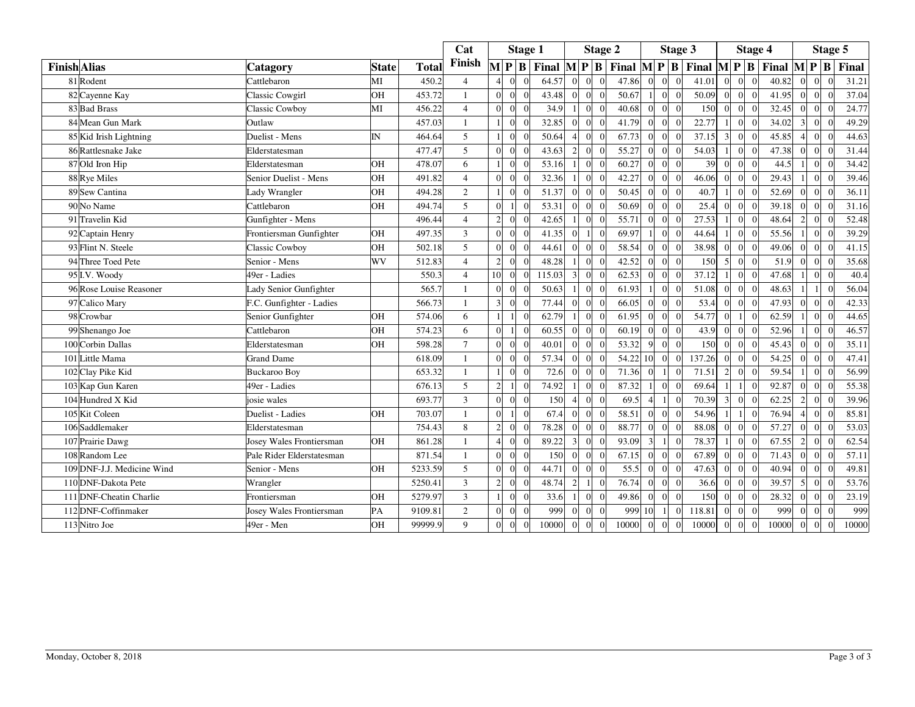|                            |                           |              |              | Cat            |                 | <b>Stage 1</b>             |                                                                                        |                       | <b>Stage 2</b>         |       |                 |                | Stage 3                  | <b>Stage 4</b> |                                   |                |                                                                                                                            |                | Stage 5                     |       |
|----------------------------|---------------------------|--------------|--------------|----------------|-----------------|----------------------------|----------------------------------------------------------------------------------------|-----------------------|------------------------|-------|-----------------|----------------|--------------------------|----------------|-----------------------------------|----------------|----------------------------------------------------------------------------------------------------------------------------|----------------|-----------------------------|-------|
| <b>Finish</b> Alias        | <b>Catagory</b>           | <b>State</b> | <b>Total</b> | Finish         |                 |                            | $\mathbf{M} \mathbf{P} \mathbf{B} \mathbf{F}$ Final $\mathbf{M} \mathbf{P} \mathbf{B}$ |                       |                        |       |                 |                |                          |                |                                   |                | Final $\mathbf{M} \mathbf{P} \mathbf{B}$ Final $\mathbf{M} \mathbf{P} \mathbf{B}$ Final $\mathbf{M} \mathbf{P} \mathbf{B}$ |                |                             | Final |
| 81 Rodent                  | Cattlebaron               | MI           | 450.2        | $\overline{4}$ | $\overline{4}$  | $\overline{0}$<br>$\Omega$ | 64.57                                                                                  | $\vert$ 0             | $\Omega$<br>$\sqrt{ }$ | 47.86 | $\overline{0}$  | $\Omega$       | $\theta$<br>41.01        |                | $\overline{0}$<br>$\Omega$        | $\vert$ 0      | 40.82                                                                                                                      | $\Omega$       | $\overline{0}$<br>$\Omega$  | 31.21 |
| 82 Cayenne Kay             | Classic Cowgirl           | OH           | 453.72       | $\mathbf{1}$   | $\Omega$        | $\Omega$<br>$\theta$       | 43.48                                                                                  | $\Omega$              | $\sqrt{ }$<br>$\Omega$ | 50.67 | 1               | $\Omega$       | $\theta$<br>50.09        |                | $\Omega$<br>$\Omega$              | $\Omega$       | 41.95                                                                                                                      | $\Omega$       | $\Omega$<br>$\Omega$        | 37.04 |
| 83 Bad Brass               | <b>Classic Cowboy</b>     | MI           | 456.22       | $\overline{4}$ | $\overline{0}$  | $\theta$<br>$\Omega$       | 34.9                                                                                   |                       | $\Omega$<br>$\bigcap$  | 40.68 | $\vert 0 \vert$ | $\overline{0}$ | $\Omega$                 | 150            | $\overline{0}$<br>$\overline{0}$  | $\Omega$       | 32.45                                                                                                                      | $\Omega$       | $\vert$ 0                   | 24.77 |
| 84 Mean Gun Mark           | Outlaw                    |              | 457.03       | $\mathbf{1}$   |                 | $\overline{0}$             | 32.85                                                                                  | $\Omega$              | $\bigcap$<br>$\Omega$  | 41.79 | $\overline{0}$  | $\overline{0}$ | $\theta$                 | 22.77          | $\overline{0}$                    | $\Omega$       | 34.02                                                                                                                      | 3              | $\overline{0}$              | 49.29 |
| 85 Kid Irish Lightning     | Duelist - Mens            | IN           | 464.64       | 5              |                 | $\overline{0}$             | 50.64                                                                                  | $\boldsymbol{\Delta}$ | $\Omega$<br>$\Omega$   | 67.73 | $\overline{0}$  | $\overline{0}$ | $\theta$                 | 37.15          | $\overline{0}$<br>3               | $\Omega$       | 45.85                                                                                                                      |                | $\overline{0}$<br>$\Omega$  | 44.63 |
| 86 Rattlesnake Jake        | Elderstatesman            |              | 477.47       | 5              | $\Omega$        | $\theta$                   | 43.63                                                                                  | $\overline{c}$        | $\sqrt{ }$<br>$\Omega$ | 55.27 | $\vert 0 \vert$ | $\overline{0}$ | 54.03<br>$\overline{0}$  |                | $\overline{0}$                    | $\Omega$       | 47.38                                                                                                                      |                | $\vert$ 0<br>$\Omega$       | 31.44 |
| 87 Old Iron Hip            | Elderstatesman            | OH           | 478.07       | 6              | $\mathbf{1}$    | $\theta$                   | 53.16                                                                                  |                       | $\bigcap$<br>$\Omega$  | 60.27 | $\overline{0}$  | $\overline{0}$ | $\theta$                 | 39             | $\overline{0}$<br>$\Omega$        | $\Omega$       | 44.5                                                                                                                       |                | 0 <br>$\Omega$              | 34.42 |
| 88 Rye Miles               | Senior Duelist - Mens     | OH           | 491.82       | $\overline{4}$ | $\overline{0}$  | $\overline{0}$             | 32.36                                                                                  |                       | $\Omega$<br>$\Omega$   | 42.27 | $\mathbf{0}$    | $\overline{0}$ | $\overline{0}$           | 46.06          | 0 <br>$\overline{0}$              | $\overline{0}$ | 29.43                                                                                                                      |                | 0                           | 39.46 |
| 89 Sew Cantina             | Lady Wrangler             | OH           | 494.28       | $\overline{c}$ | $\vert$         | $\overline{0}$<br>$\theta$ | 51.37                                                                                  | $\overline{0}$        | $\Omega$<br>$\Omega$   | 50.45 | $\overline{0}$  | $\overline{0}$ | $\theta$                 | 40.7           | $\overline{0}$<br>$\overline{1}$  | $\Omega$       | 52.69                                                                                                                      | $\Omega$       | $\overline{0}$<br>$\Omega$  | 36.11 |
| 90 No Name                 | Cattlebaron               | OH           | 494.74       | 5              | $\overline{0}$  |                            | 53.31                                                                                  | $\vert$ 0             | $\Omega$<br>$\Omega$   | 50.69 | $\overline{0}$  | $\overline{0}$ | $\overline{0}$           | 25.4           | $\vert 0 \vert$<br>$\overline{0}$ | $\overline{0}$ | 39.18                                                                                                                      | $\Omega$       | $\vert$ 0<br>$\Omega$       | 31.16 |
| 91 Travelin Kid            | Gunfighter - Mens         |              | 496.44       | $\overline{4}$ | $\overline{2}$  | $\theta$                   | 42.65                                                                                  |                       | $\Omega$<br>$\Omega$   | 55.71 | $\overline{0}$  | $\Omega$       | $\Omega$                 | 27.53          | $\mathbf{0}$                      | $\Omega$       | 48.64                                                                                                                      | 2              | $\overline{0}$              | 52.48 |
| 92 Captain Henry           | Frontiersman Gunfighter   | OH           | 497.35       | $\overline{3}$ | $\Omega$        | $\Omega$                   | 41.35                                                                                  | $\Omega$              | $\Omega$               | 69.97 | $\vert$ 1       | $\Omega$       | 44.64<br>$\theta$        |                | $\overline{0}$                    | $\Omega$       | 55.56                                                                                                                      |                | $\Omega$                    | 39.29 |
| 93 Flint N. Steele         | <b>Classic Cowboy</b>     | OH           | 502.18       | 5              | $\overline{0}$  | $\overline{0}$<br>$\Omega$ | 44.61                                                                                  | $\overline{0}$        | $\sqrt{ }$<br>$\Omega$ | 58.54 | $\vert 0 \vert$ | $\overline{0}$ | $\overline{0}$           | 38.98          | $\overline{0}$<br>$\overline{0}$  | $\Omega$       | 49.06                                                                                                                      |                | $\vert 0 \vert$             | 41.15 |
| 94 Three Toed Pete         | Senior - Mens             | WV           | 512.83       | $\overline{4}$ | $\overline{2}$  | $\overline{0}$             | 48.28                                                                                  |                       | $\Omega$<br>$\Omega$   | 42.52 | $\overline{0}$  | $\overline{0}$ | $\Omega$                 | 150            | $\overline{0}$<br>$\vert$ 5       | $\Omega$       | 51.9                                                                                                                       | $\Omega$       | $\vert$ 0<br>$\Omega$       | 35.68 |
| 95 I.V. Woody              | 49er - Ladies             |              | 550.3        | $\overline{4}$ | 10 <sup>1</sup> | $\overline{0}$<br>$\Omega$ | 115.03                                                                                 | 3                     | $\Omega$<br>$\Omega$   | 62.53 | $\Omega$        | $\Omega$       | $\Omega$                 | 37.12          | $\overline{0}$                    | $\Omega$       | 47.68                                                                                                                      |                | $\vert$ 0<br>$\Omega$       | 40.4  |
| 96 Rose Louise Reasoner    | Lady Senior Gunfighter    |              | 565.7        | $\mathbf{1}$   | $\Omega$        | $\Omega$                   | 50.63                                                                                  |                       | $\Omega$<br>$\Omega$   | 61.93 | 1 <sup>1</sup>  | $\Omega$       | 51.08<br>$\Omega$        |                | $\Omega$<br>$\Omega$              | $\Omega$       | 48.63                                                                                                                      |                | 1 <sup>1</sup>              | 56.04 |
| 97 Calico Mary             | F.C. Gunfighter - Ladies  |              | 566.73       | 1              | $\vert$ 3       | $\mathbf{0}$               | 77.44                                                                                  | $\vert$ 0             | $\Omega$<br>$\Omega$   | 66.05 | $\overline{0}$  | $\overline{0}$ | $\overline{0}$           | 53.4           | $\vert$<br>$\overline{0}$         | $\Omega$       | 47.93                                                                                                                      | $\Omega$       | $\vert$ 0                   | 42.33 |
| 98 Crowbar                 | Senior Gunfighter         | OH           | 574.06       | 6              | 1 <sup>1</sup>  |                            | 62.79                                                                                  |                       | $\Omega$<br>$\bigcap$  | 61.95 | $\overline{0}$  | $\overline{0}$ | $\overline{0}$           | 54.77          | $\overline{0}$<br>$\vert$         | $\Omega$       | 62.59                                                                                                                      |                | 0 <br>$\Omega$              | 44.65 |
| 99 Shenango Joe            | Cattlebaron               | OH           | 574.23       | 6              | $\Omega$        |                            | 60.55                                                                                  | $\overline{0}$        | $\Omega$<br>$\Omega$   | 60.19 | $\overline{0}$  | $\overline{0}$ | $\theta$                 | 43.9           | $\overline{0}$<br>$\Omega$        | $\Omega$       | 52.96                                                                                                                      |                | $\vert$ 0<br>$\Omega$       | 46.57 |
| 100 Corbin Dallas          | Elderstatesman            | OH           | 598.28       | $\tau$         | $\overline{0}$  | $\theta$                   | 40.01                                                                                  | $\overline{0}$        | $\Omega$<br>$\Omega$   | 53.32 | $\overline{9}$  | $\overline{0}$ | $\overline{0}$           | 150            | $\mathbf{0}$<br>$\Omega$          | $\Omega$       | 45.43                                                                                                                      | $\Omega$       | $\overline{0}$              | 35.11 |
| 101 Little Mama            | <b>Grand Dame</b>         |              | 618.09       | $\mathbf{1}$   | $\Omega$        | $\mathbf{0}$               | 57.34                                                                                  | $\Omega$              | $\bigcap$<br>$\Omega$  | 54.22 | 10 <sup>1</sup> | $\overline{0}$ | 137.26<br>$\theta$       |                | $\Omega$<br>$\Omega$              | $\Omega$       | 54.25                                                                                                                      | $\Omega$       | $\Omega$                    | 47.41 |
| 102 Clay Pike Kid          | <b>Buckaroo Boy</b>       |              | 653.32       | $\mathbf{1}$   | -1              | $\overline{0}$<br>$\Omega$ | 72.6                                                                                   | $\Omega$              | $\bigcap$<br>$\Omega$  | 71.36 | $\overline{0}$  | $\vert$ 1      | 71.51<br>$\theta$        |                | $\overline{2}$<br>$\overline{0}$  | $\Omega$       | 59.54                                                                                                                      |                | $\vert$ 0                   | 56.99 |
| 103 Kap Gun Karen          | 49er - Ladies             |              | 676.13       | 5              | $2\vert$        | $\Omega$                   | 74.92                                                                                  |                       | $\Omega$<br>$\sqrt{ }$ | 87.32 | $\vert$         | $\overline{0}$ | $\theta$<br>69.64        |                | $\mathbf{1}$                      | $\Omega$       | 92.87                                                                                                                      | $\Omega$       | $\overline{0}$              | 55.38 |
| 104 Hundred X Kid          | josie wales               |              | 693.77       | 3              | $\Omega$        | $\overline{0}$<br>$\Omega$ | 150                                                                                    | $\overline{4}$        | $\Omega$<br>$\Omega$   | 69.5  | $\overline{4}$  | $\mathbf{1}$   | $\overline{0}$           | 70.39          | $\overline{0}$<br>$\overline{3}$  | $\Omega$       | 62.25                                                                                                                      | $\overline{2}$ | 0 <br>$\Omega$              | 39.96 |
| 105 Kit Coleen             | Duelist - Ladies          | OH           | 703.07       | $\mathbf{1}$   | $\Omega$        | $\Omega$                   | 67.4                                                                                   | $\Omega$              | $\Omega$<br>$\Omega$   | 58.51 | $\overline{0}$  | $\overline{0}$ | $\Omega$                 | 54.96          | $\overline{1}$                    | $\Omega$       | 76.94                                                                                                                      | $\overline{4}$ | 0                           | 85.81 |
| 106 Saddlemaker            | Elderstatesman            |              | 754.43       | $\,8\,$        | $\overline{2}$  | $\mathbf{0}$               | 78.28                                                                                  | $\Omega$              | $\Omega$<br>$\Omega$   | 88.77 | $\overline{0}$  | $\overline{0}$ | 88.08<br>$\overline{0}$  |                | $\vert$ 0<br>$\Omega$             | $\Omega$       | 57.27                                                                                                                      | $\Omega$       | $\overline{0}$              | 53.03 |
| 107 Prairie Dawg           | Josey Wales Frontiersman  | OH           | 861.28       | $\mathbf{1}$   | $\overline{4}$  | $\overline{0}$             | 89.22                                                                                  | 3                     | $\Omega$<br>$\Omega$   | 93.09 | $\mathbf{3}$    | $\vert$ 1      | $\overline{0}$           | 78.37          | $\vert 0 \vert$<br>$\vert$        | $\overline{0}$ | 67.55                                                                                                                      | $\overline{2}$ | 0                           | 62.54 |
| 108 Random Lee             | Pale Rider Elderstatesman |              | 871.54       | $\mathbf{1}$   | $\Omega$        | $\overline{0}$<br>$\theta$ | 150                                                                                    | $\overline{0}$        | $\Omega$<br>$\Omega$   | 67.15 | $\overline{0}$  | $\overline{0}$ | $\overline{0}$<br>67.89  |                | $\vert 0 \vert$<br>$\overline{0}$ | $\overline{0}$ | 71.43                                                                                                                      | $\overline{0}$ | $\vert 0 \vert$<br>$\theta$ | 57.11 |
| 109 DNF-J.J. Medicine Wind | Senior - Mens             | OH           | 5233.59      | 5              | $\Omega$        | $\overline{0}$<br>$\Omega$ | 44.71                                                                                  | $\vert$ 0             | $\Omega$<br>$\Omega$   | 55.5  | $\overline{0}$  | $\overline{0}$ | $\overline{0}$           | 47.63          | $\vert$ 0<br>$\overline{0}$       | $\Omega$       | 40.94                                                                                                                      | $\Omega$       | $\overline{0}$<br>$\theta$  | 49.81 |
| 110 DNF-Dakota Pete        | Wrangler                  |              | 5250.41      | $\mathfrak{Z}$ | $\overline{2}$  | $\Omega$<br>$\theta$       | 48.74                                                                                  | 2                     | $\Omega$               | 76.74 | $\Omega$        | $\Omega$       | $\theta$                 | 36.6           | $\Omega$<br>$\Omega$              | $\Omega$       | 39.57                                                                                                                      | 5              | $\Omega$<br>$\Omega$        | 53.76 |
| 111 DNF-Cheatin Charlie    | Frontiersman              | OH           | 5279.97      | 3              | $\mathbf{1}$    | $\mathbf{0}$<br>$\Omega$   | 33.6                                                                                   |                       | $\Omega$<br>$\Omega$   | 49.86 | $\bf{0}$        | $\overline{0}$ | $\overline{0}$           | 150            | $\overline{0}$<br>$\vert$ 0       | $\Omega$       | 28.32                                                                                                                      | $\Omega$       | $\vert$ 0                   | 23.19 |
| 112 DNF-Coffinmaker        | Josey Wales Frontiersman  | PA           | 9109.81      | $\overline{c}$ | $\Omega$        | $\overline{0}$<br>$\Omega$ | 999                                                                                    | $\Omega$              | $\Omega$<br>$\Omega$   | 999   | 10              | $\vert$ 1      | $\overline{0}$<br>118.81 |                | $\vert$ 0<br>$\overline{0}$       | $\Omega$       | 999                                                                                                                        | $\Omega$       | $\overline{0}$<br>$\Omega$  | 999   |
| 113 Nitro Joe              | 49er - Men                | OH           | 99999.9      | $\mathbf Q$    | $\Omega$        | $\overline{0}$<br>$\Omega$ | 10000                                                                                  | $\Omega$              | $\Omega$<br>$\Omega$   | 10000 | $\overline{0}$  | $\overline{0}$ | 10000<br>$\theta$        |                | $\overline{0}$<br>$\Omega$        | $\Omega$       | 10000                                                                                                                      | $\Omega$       | $\vert$ 0<br>$\theta$       | 10000 |